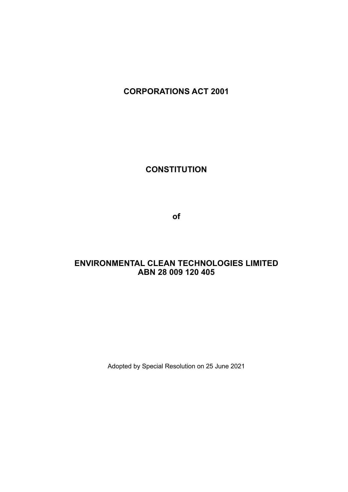# **CORPORATIONS ACT 2001**

**CONSTITUTION**

**of**

# **ENVIRONMENTAL CLEAN TECHNOLOGIES LIMITED ABN 28 009 120 405**

Adopted by Special Resolution on 25 June 2021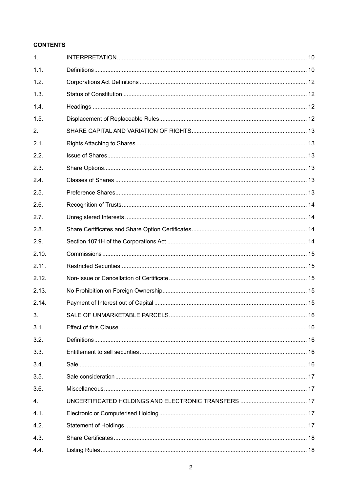# **CONTENTS**

| 1.    |  |
|-------|--|
| 1.1.  |  |
| 1.2.  |  |
| 1.3.  |  |
| 1.4.  |  |
| 1.5.  |  |
| 2.    |  |
| 2.1.  |  |
| 2.2.  |  |
| 2.3.  |  |
| 2.4.  |  |
| 2.5.  |  |
| 2.6.  |  |
| 2.7.  |  |
| 2.8.  |  |
| 2.9.  |  |
| 2.10. |  |
| 2.11. |  |
| 2.12. |  |
| 2.13. |  |
| 2.14. |  |
| 3.    |  |
| 3.1.  |  |
| 3.2.  |  |
| 3.3.  |  |
| 3.4.  |  |
| 3.5.  |  |
| 3.6.  |  |
| 4.    |  |
| 4.1.  |  |
| 4.2.  |  |
| 4.3.  |  |
| 4.4.  |  |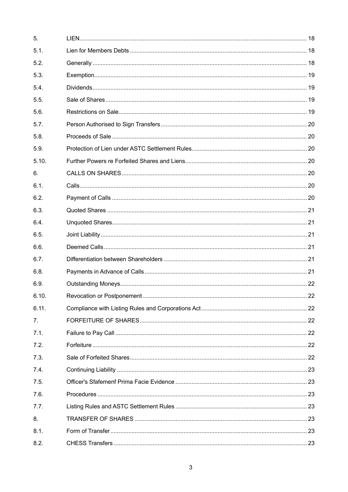| 5.    |  |
|-------|--|
| 5.1.  |  |
| 5.2.  |  |
| 5.3.  |  |
| 5.4.  |  |
| 5.5.  |  |
| 5.6.  |  |
| 5.7.  |  |
| 5.8.  |  |
| 5.9.  |  |
| 5.10. |  |
| 6.    |  |
| 6.1.  |  |
| 6.2.  |  |
| 6.3.  |  |
| 6.4.  |  |
| 6.5.  |  |
| 6.6.  |  |
| 6.7.  |  |
| 6.8.  |  |
| 6.9.  |  |
| 6.10. |  |
| 6.11. |  |
| 7.    |  |
| 7.1.  |  |
| 7.2.  |  |
| 7.3.  |  |
| 7.4.  |  |
| 7.5.  |  |
| 7.6.  |  |
| 7.7.  |  |
| 8.    |  |
| 8.1.  |  |
| 8.2.  |  |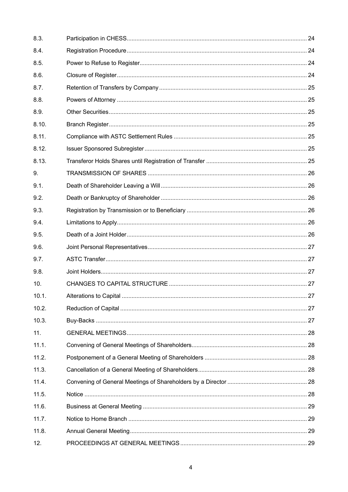| 8.3.  |  |
|-------|--|
| 8.4.  |  |
| 8.5.  |  |
| 8.6.  |  |
| 8.7.  |  |
| 8.8.  |  |
| 8.9.  |  |
| 8.10. |  |
| 8.11. |  |
| 8.12. |  |
| 8.13. |  |
| 9.    |  |
| 9.1.  |  |
| 9.2.  |  |
| 9.3.  |  |
| 9.4.  |  |
| 9.5.  |  |
| 9.6.  |  |
| 9.7.  |  |
| 9.8.  |  |
| 10.   |  |
| 10.1. |  |
| 10.2. |  |
| 10.3. |  |
| 11.   |  |
| 11.1. |  |
| 11.2. |  |
| 11.3. |  |
| 11.4. |  |
| 11.5. |  |
| 11.6. |  |
| 11.7. |  |
| 11.8. |  |
| 12.   |  |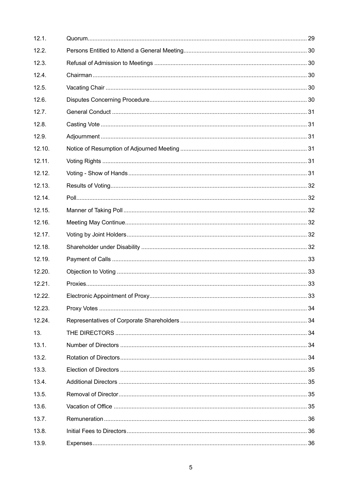| 12.1.  |  |
|--------|--|
| 12.2.  |  |
| 12.3.  |  |
| 12.4.  |  |
| 12.5.  |  |
| 12.6.  |  |
| 12.7.  |  |
| 12.8.  |  |
| 12.9.  |  |
| 12.10. |  |
| 12.11. |  |
| 12.12. |  |
| 12.13. |  |
| 12.14. |  |
| 12.15. |  |
| 12.16. |  |
| 12.17. |  |
| 12.18. |  |
| 12.19. |  |
| 12.20. |  |
| 12.21. |  |
| 12.22. |  |
| 12.23. |  |
| 12.24. |  |
| 13.    |  |
| 13.1.  |  |
| 13.2.  |  |
| 13.3.  |  |
| 13.4.  |  |
| 13.5.  |  |
| 13.6.  |  |
| 13.7.  |  |
| 13.8.  |  |
| 13.9.  |  |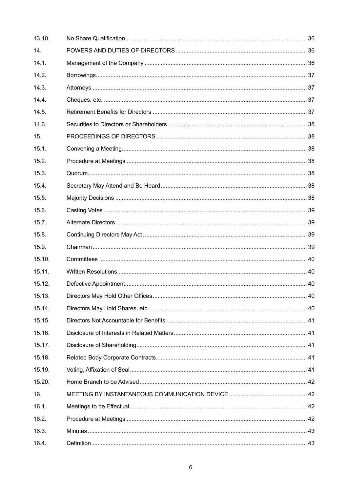| 13.10. |  |
|--------|--|
| 14.    |  |
| 14.1.  |  |
| 14.2.  |  |
| 14.3.  |  |
| 14.4.  |  |
| 14.5.  |  |
| 14.6.  |  |
| 15.    |  |
| 15.1.  |  |
| 15.2.  |  |
| 15.3.  |  |
| 15.4.  |  |
| 15.5.  |  |
| 15.6.  |  |
| 15.7.  |  |
| 15.8.  |  |
| 15.9.  |  |
| 15.10. |  |
| 15.11. |  |
| 15.12. |  |
| 15.13. |  |
| 15.14. |  |
| 15.15. |  |
| 15.16. |  |
| 15.17. |  |
| 15.18. |  |
| 15.19. |  |
| 15.20. |  |
| 16.    |  |
| 16.1.  |  |
| 16.2.  |  |
| 16.3.  |  |
| 16.4.  |  |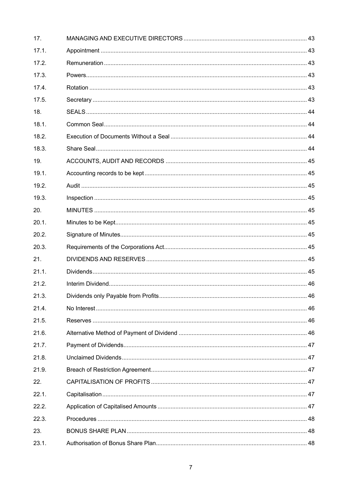| 17.   |  |
|-------|--|
| 17.1. |  |
| 17.2. |  |
| 17.3. |  |
| 17.4. |  |
| 17.5. |  |
| 18.   |  |
| 18.1. |  |
| 18.2. |  |
| 18.3. |  |
| 19.   |  |
| 19.1. |  |
| 19.2. |  |
| 19.3. |  |
| 20.   |  |
| 20.1. |  |
| 20.2. |  |
| 20.3. |  |
| 21.   |  |
| 21.1. |  |
| 21.2. |  |
| 21.3. |  |
| 21.4. |  |
| 21.5. |  |
| 21.6. |  |
| 21.7. |  |
| 21.8. |  |
| 21.9. |  |
| 22.   |  |
| 22.1. |  |
| 22.2. |  |
| 22.3. |  |
| 23.   |  |
| 23.1. |  |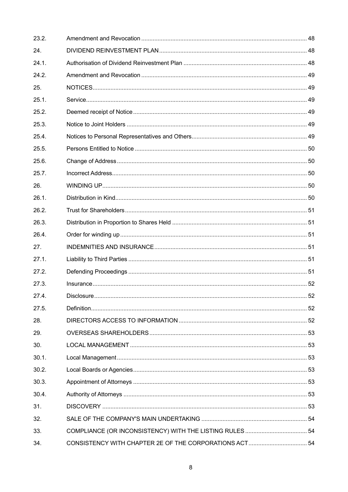| 23.2. |  |
|-------|--|
| 24.   |  |
| 24.1. |  |
| 24.2. |  |
| 25.   |  |
| 25.1. |  |
| 25.2. |  |
| 25.3. |  |
| 25.4. |  |
| 25.5. |  |
| 25.6. |  |
| 25.7. |  |
| 26.   |  |
| 26.1. |  |
| 26.2. |  |
| 26.3. |  |
| 26.4. |  |
| 27.   |  |
| 27.1. |  |
| 27.2. |  |
| 27.3. |  |
| 27.4. |  |
| 27.5. |  |
| 28.   |  |
| 29.   |  |
| 30.   |  |
| 30.1. |  |
| 30.2. |  |
| 30.3. |  |
| 30.4. |  |
| 31.   |  |
| 32.   |  |
| 33.   |  |
| 34.   |  |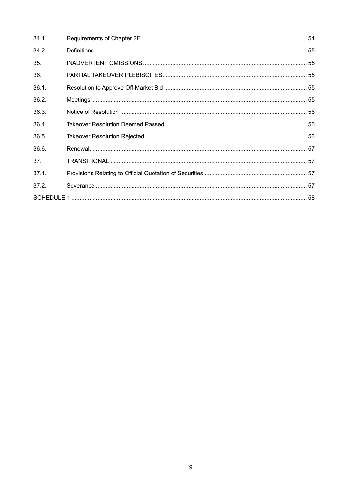| 34.1. |  |
|-------|--|
| 34.2. |  |
| 35.   |  |
| 36.   |  |
| 36.1. |  |
| 36.2. |  |
| 36.3. |  |
| 36.4. |  |
| 36.5. |  |
| 36.6. |  |
| 37.   |  |
| 37.1. |  |
| 37.2. |  |
|       |  |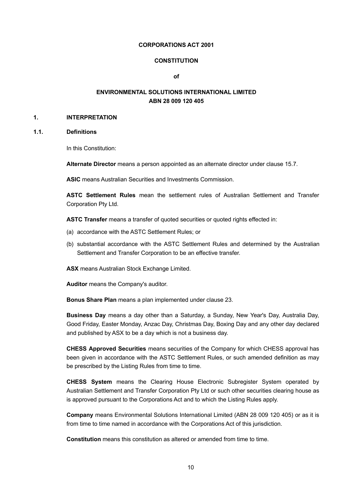#### **CORPORATIONS ACT 2001**

#### **CONSTITUTION**

**of**

# **ENVIRONMENTAL SOLUTIONS INTERNATIONAL LIMITED ABN 28 009 120 405**

#### **1. INTERPRETATION**

# **1.1. Definitions**

In this Constitution:

**Alternate Director** means a person appointed as an alternate director under clause 15.7.

**ASIC** means Australian Securities and Investments Commission.

**ASTC Settlement Rules** mean the settlement rules of Australian Settlement and Transfer Corporation Pty Ltd.

**ASTC Transfer** means a transfer of quoted securities or quoted rights effected in:

- (a) accordance with the ASTC Settlement Rules; or
- (b) substantial accordance with the ASTC Settlement Rules and determined by the Australian Settlement and Transfer Corporation to be an effective transfer.

**ASX** means Australian Stock Exchange Limited.

**Auditor** means the Company's auditor.

**Bonus Share Plan** means a plan implemented under clause 23.

**Business Day** means a day other than a Saturday, a Sunday, New Year's Day, Australia Day, Good Friday, Easter Monday, Anzac Day, Christmas Day, Boxing Day and any other day declared and published by ASX to be a day which is not a business day.

**CHESS Approved Securities** means securities of the Company for which CHESS approval has been given in accordance with the ASTC Settlement Rules, or such amended definition as may be prescribed by the Listing Rules from time to time.

**CHESS System** means the Clearing House Electronic Subregister System operated by Australian Settlement and Transfer Corporation Pty Ltd or such other securities clearing house as is approved pursuant to the Corporations Act and to which the Listing Rules apply.

**Company** means Environmental Solutions International Limited (ABN 28 009 120 405) or as it is from time to time named in accordance with the Corporations Act of this jurisdiction.

**Constitution** means this constitution as altered or amended from time to time.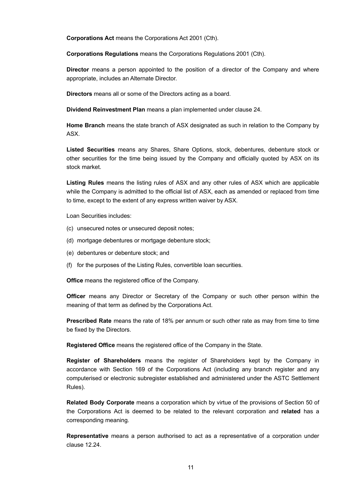**Corporations Act** means the Corporations Act 2001 (Cth).

**Corporations Regulations** means the Corporations Regulations 2001 (Cth).

**Director** means a person appointed to the position of a director of the Company and where appropriate, includes an Alternate Director.

**Directors** means all or some of the Directors acting as a board.

**Dividend Reinvestment Plan** means a plan implemented under clause 24.

**Home Branch** means the state branch of ASX designated as such in relation to the Company by ASX.

**Listed Securities** means any Shares, Share Options, stock, debentures, debenture stock or other securities for the time being issued by the Company and officially quoted by ASX on its stock market.

**Listing Rules** means the listing rules of ASX and any other rules of ASX which are applicable while the Company is admitted to the official list of ASX, each as amended or replaced from time to time, except to the extent of any express written waiver by ASX.

Loan Securities includes:

- (c) unsecured notes or unsecured deposit notes;
- (d) mortgage debentures or mortgage debenture stock;
- (e) debentures or debenture stock; and
- (f) for the purposes of the Listing Rules, convertible loan securities.

**Office** means the registered office of the Company.

**Officer** means any Director or Secretary of the Company or such other person within the meaning of that term as defined by the Corporations Act.

**Prescribed Rate** means the rate of 18% per annum or such other rate as may from time to time be fixed by the Directors.

**Registered Office** means the registered office of the Company in the State.

**Register of Shareholders** means the register of Shareholders kept by the Company in accordance with Section 169 of the Corporations Act (including any branch register and any computerised or electronic subregister established and administered under the ASTC Settlement Rules).

**Related Body Corporate** means a corporation which by virtue of the provisions of Section 50 of the Corporations Act is deemed to be related to the relevant corporation and **related** has a corresponding meaning.

**Representative** means a person authorised to act as a representative of a corporation under clause 12.24.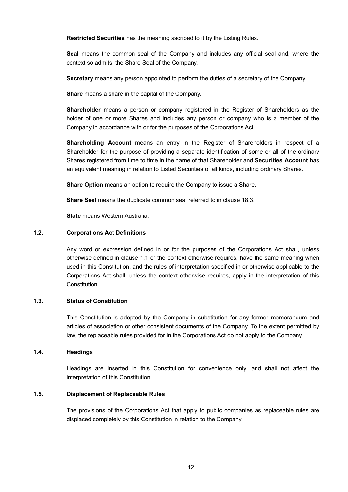**Restricted Securities** has the meaning ascribed to it by the Listing Rules.

**Seal** means the common seal of the Company and includes any official seal and, where the context so admits, the Share Seal of the Company.

**Secretary** means any person appointed to perform the duties of a secretary of the Company.

**Share** means a share in the capital of the Company.

**Shareholder** means a person or company registered in the Register of Shareholders as the holder of one or more Shares and includes any person or company who is a member of the Company in accordance with or for the purposes of the Corporations Act.

**Shareholding Account** means an entry in the Register of Shareholders in respect of a Shareholder for the purpose of providing a separate identification of some or all of the ordinary Shares registered from time to time in the name of that Shareholder and **Securities Account** has an equivalent meaning in relation to Listed Securities of all kinds, including ordinary Shares.

**Share Option** means an option to require the Company to issue a Share.

**Share Seal** means the duplicate common seal referred to in clause 18.3.

**State** means Western Australia.

#### **1.2. Corporations Act Definitions**

Any word or expression defined in or for the purposes of the Corporations Act shall, unless otherwise defined in clause 1.1 or the context otherwise requires, have the same meaning when used in this Constitution, and the rules of interpretation specified in or otherwise applicable to the Corporations Act shall, unless the context otherwise requires, apply in the interpretation of this **Constitution** 

# **1.3. Status of Constitution**

This Constitution is adopted by the Company in substitution for any former memorandum and articles of association or other consistent documents of the Company. To the extent permitted by law, the replaceable rules provided for in the Corporations Act do not apply to the Company.

# **1.4. Headings**

Headings are inserted in this Constitution for convenience only, and shall not affect the interpretation of this Constitution.

### **1.5. Displacement of Replaceable Rules**

The provisions of the Corporations Act that apply to public companies as replaceable rules are displaced completely by this Constitution in relation to the Company.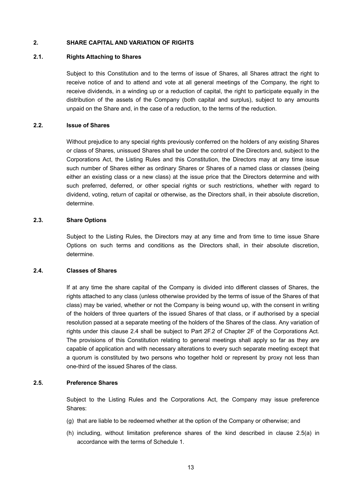# **2. SHARE CAPITAL AND VARIATION OF RIGHTS**

#### **2.1. Rights Attaching to Shares**

Subject to this Constitution and to the terms of issue of Shares, all Shares attract the right to receive notice of and to attend and vote at all general meetings of the Company, the right to receive dividends, in a winding up or a reduction of capital, the right to participate equally in the distribution of the assets of the Company (both capital and surplus), subject to any amounts unpaid on the Share and, in the case of a reduction, to the terms of the reduction.

#### **2.2. Issue of Shares**

Without prejudice to any special rights previously conferred on the holders of any existing Shares or class of Shares, unissued Shares shall be under the control of the Directors and, subject to the Corporations Act, the Listing Rules and this Constitution, the Directors may at any time issue such number of Shares either as ordinary Shares or Shares of a named class or classes (being either an existing class or a new class) at the issue price that the Directors determine and with such preferred, deferred, or other special rights or such restrictions, whether with regard to dividend, voting, return of capital or otherwise, as the Directors shall, in their absolute discretion, determine.

### **2.3. Share Options**

Subject to the Listing Rules, the Directors may at any time and from time to time issue Share Options on such terms and conditions as the Directors shall, in their absolute discretion, determine.

#### **2.4. Classes of Shares**

If at any time the share capital of the Company is divided into different classes of Shares, the rights attached to any class (unless otherwise provided by the terms of issue of the Shares of that class) may be varied, whether or not the Company is being wound up, with the consent in writing of the holders of three quarters of the issued Shares of that class, or if authorised by a special resolution passed at a separate meeting of the holders of the Shares of the class. Any variation of rights under this clause 2.4 shall be subject to Part 2F.2 of Chapter 2F of the Corporations Act. The provisions of this Constitution relating to general meetings shall apply so far as they are capable of application and with necessary alterations to every such separate meeting except that a quorum is constituted by two persons who together hold or represent by proxy not less than one-third of the issued Shares of the class.

#### **2.5. Preference Shares**

Subject to the Listing Rules and the Corporations Act, the Company may issue preference Shares:

- (g) that are liable to be redeemed whether at the option of the Company or otherwise; and
- (h) including, without limitation preference shares of the kind described in clause 2.5(a) in accordance with the terms of Schedule 1.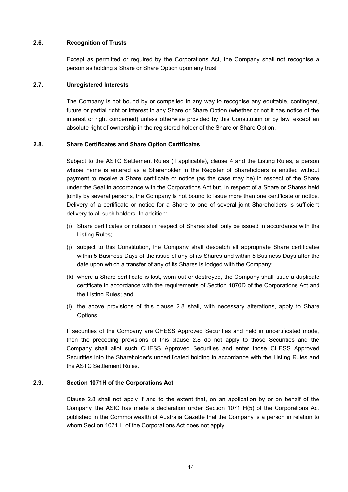### **2.6. Recognition of Trusts**

Except as permitted or required by the Corporations Act, the Company shall not recognise a person as holding a Share or Share Option upon any trust.

# **2.7. Unregistered Interests**

The Company is not bound by or compelled in any way to recognise any equitable, contingent, future or partial right or interest in any Share or Share Option (whether or not it has notice of the interest or right concerned) unless otherwise provided by this Constitution or by law, except an absolute right of ownership in the registered holder of the Share or Share Option.

# **2.8. Share Certificates and Share Option Certificates**

Subject to the ASTC Settlement Rules (if applicable), clause 4 and the Listing Rules, a person whose name is entered as a Shareholder in the Register of Shareholders is entitled without payment to receive a Share certificate or notice (as the case may be) in respect of the Share under the Seal in accordance with the Corporations Act but, in respect of a Share or Shares held jointly by several persons, the Company is not bound to issue more than one certificate or notice. Delivery of a certificate or notice for a Share to one of several joint Shareholders is sufficient delivery to all such holders. In addition:

- (i) Share certificates or notices in respect of Shares shall only be issued in accordance with the Listing Rules;
- (j) subject to this Constitution, the Company shall despatch all appropriate Share certificates within 5 Business Days of the issue of any of its Shares and within 5 Business Days after the date upon which a transfer of any of its Shares is lodged with the Company;
- (k) where a Share certificate is lost, worn out or destroyed, the Company shall issue a duplicate certificate in accordance with the requirements of Section 1070D of the Corporations Act and the Listing Rules; and
- (l) the above provisions of this clause 2.8 shall, with necessary alterations, apply to Share Options.

If securities of the Company are CHESS Approved Securities and held in uncertificated mode, then the preceding provisions of this clause 2.8 do not apply to those Securities and the Company shall allot such CHESS Approved Securities and enter those CHESS Approved Securities into the Shareholder's uncertificated holding in accordance with the Listing Rules and the ASTC Settlement Rules.

# **2.9. Section 1071H of the Corporations Act**

Clause 2.8 shall not apply if and to the extent that, on an application by or on behalf of the Company, the ASIC has made a declaration under Section 1071 H(5) of the Corporations Act published in the Commonwealth of Australia Gazette that the Company is a person in relation to whom Section 1071 H of the Corporations Act does not apply.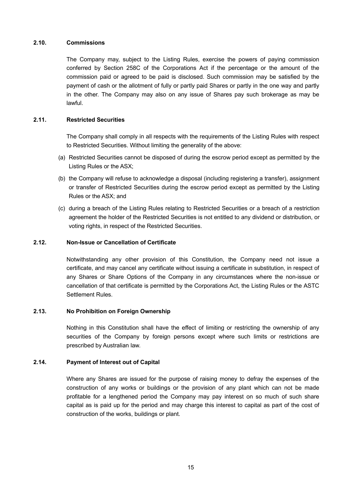### **2.10. Commissions**

The Company may, subject to the Listing Rules, exercise the powers of paying commission conferred by Section 258C of the Corporations Act if the percentage or the amount of the commission paid or agreed to be paid is disclosed. Such commission may be satisfied by the payment of cash or the allotment of fully or partly paid Shares or partly in the one way and partly in the other. The Company may also on any issue of Shares pay such brokerage as may be lawful.

# **2.11. Restricted Securities**

The Company shall comply in all respects with the requirements of the Listing Rules with respect to Restricted Securities. Without limiting the generality of the above:

- (a) Restricted Securities cannot be disposed of during the escrow period except as permitted by the Listing Rules or the ASX;
- (b) the Company will refuse to acknowledge a disposal (including registering a transfer), assignment or transfer of Restricted Securities during the escrow period except as permitted by the Listing Rules or the ASX; and
- (c) during a breach of the Listing Rules relating to Restricted Securities or a breach of a restriction agreement the holder of the Restricted Securities is not entitled to any dividend or distribution, or voting rights, in respect of the Restricted Securities.

# **2.12. Non-Issue or Cancellation of Certificate**

Notwithstanding any other provision of this Constitution, the Company need not issue a certificate, and may cancel any certificate without issuing a certificate in substitution, in respect of any Shares or Share Options of the Company in any circumstances where the non-issue or cancellation of that certificate is permitted by the Corporations Act, the Listing Rules or the ASTC Settlement Rules.

### **2.13. No Prohibition on Foreign Ownership**

Nothing in this Constitution shall have the effect of limiting or restricting the ownership of any securities of the Company by foreign persons except where such limits or restrictions are prescribed by Australian law.

# **2.14. Payment of Interest out of Capital**

Where any Shares are issued for the purpose of raising money to defray the expenses of the construction of any works or buildings or the provision of any plant which can not be made profitable for a lengthened period the Company may pay interest on so much of such share capital as is paid up for the period and may charge this interest to capital as part of the cost of construction of the works, buildings or plant.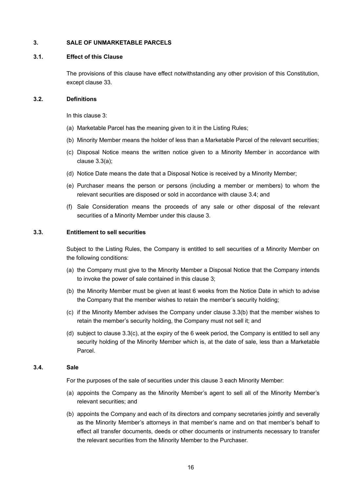### **3. SALE OF UNMARKETABLE PARCELS**

#### **3.1. Effect of this Clause**

The provisions of this clause have effect notwithstanding any other provision of this Constitution, except clause 33.

#### **3.2. Definitions**

In this clause 3:

- (a) Marketable Parcel has the meaning given to it in the Listing Rules;
- (b) Minority Member means the holder of less than a Marketable Parcel of the relevant securities;
- (c) Disposal Notice means the written notice given to a Minority Member in accordance with clause 3.3(a);
- (d) Notice Date means the date that a Disposal Notice is received by a Minority Member;
- (e) Purchaser means the person or persons (including a member or members) to whom the relevant securities are disposed or sold in accordance with clause 3.4; and
- (f) Sale Consideration means the proceeds of any sale or other disposal of the relevant securities of a Minority Member under this clause 3.

#### **3.3. Entitlement to sell securities**

Subject to the Listing Rules, the Company is entitled to sell securities of a Minority Member on the following conditions:

- (a) the Company must give to the Minority Member a Disposal Notice that the Company intends to invoke the power of sale contained in this clause 3;
- (b) the Minority Member must be given at least 6 weeks from the Notice Date in which to advise the Company that the member wishes to retain the member's security holding;
- (c) if the Minority Member advises the Company under clause 3.3(b) that the member wishes to retain the member's security holding, the Company must not sell it; and
- (d) subject to clause 3.3(c), at the expiry of the 6 week period, the Company is entitled to sell any security holding of the Minority Member which is, at the date of sale, less than a Marketable Parcel.

# **3.4. Sale**

For the purposes of the sale of securities under this clause 3 each Minority Member:

- (a) appoints the Company as the Minority Member's agent to sell all of the Minority Member's relevant securities; and
- (b) appoints the Company and each of its directors and company secretaries jointly and severally as the Minority Member's attorneys in that member's name and on that member's behalf to effect all transfer documents, deeds or other documents or instruments necessary to transfer the relevant securities from the Minority Member to the Purchaser.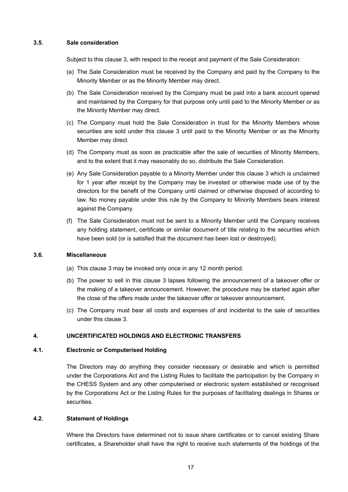### **3.5. Sale consideration**

Subject to this clause 3, with respect to the receipt and payment of the Sale Consideration:

- (a) The Sale Consideration must be received by the Company and paid by the Company to the Minority Member or as the Minority Member may direct.
- (b) The Sale Consideration received by the Company must be paid into a bank account opened and maintained by the Company for that purpose only until paid to the Minority Member or as the Minority Member may direct.
- (c) The Company must hold the Sale Consideration in trust for the Minority Members whose securities are sold under this clause 3 until paid to the Minority Member or as the Minority Member may direct.
- (d) The Company must as soon as practicable after the sale of securities of Minority Members, and to the extent that it may reasonably do so, distribute the Sale Consideration.
- (e) Any Sale Consideration payable to a Minority Member under this clause 3 which is unclaimed for 1 year after receipt by the Company may be invested or otherwise made use of by the directors for the benefit of the Company until claimed or otherwise disposed of according to law. No money payable under this rule by the Company to Minority Members bears interest against the Company.
- (f) The Sale Consideration must not be sent to a Minority Member until the Company receives any holding statement, certificate or similar document of title relating to the securities which have been sold (or is satisfied that the document has been lost or destroyed).

# **3.6. Miscellaneous**

- (a) This clause 3 may be invoked only once in any 12 month period.
- (b) The power to sell in this clause 3 lapses following the announcement of a takeover offer or the making of a takeover announcement. However, the procedure may be started again after the close of the offers made under the takeover offer or takeover announcement.
- (c) The Company must bear all costs and expenses of and incidental to the sale of securities under this clause 3.

# **4. UNCERTIFICATED HOLDINGS AND ELECTRONIC TRANSFERS**

# **4.1. Electronic or Computerised Holding**

The Directors may do anything they consider necessary or desirable and which is permitted under the Corporations Act and the Listing Rules to facilitate the participation by the Company in the CHESS System and any other computerised or electronic system established or recognised by the Corporations Act or the Listing Rules for the purposes of facilitating dealings in Shares or securities.

### **4.2. Statement of Holdings**

Where the Directors have determined not to issue share certificates or to cancel existing Share certificates, a Shareholder shall have the right to receive such statements of the holdings of the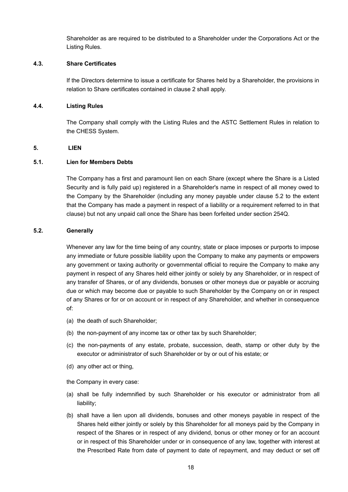Shareholder as are required to be distributed to a Shareholder under the Corporations Act or the Listing Rules.

### **4.3. Share Certificates**

If the Directors determine to issue a certificate for Shares held by a Shareholder, the provisions in relation to Share certificates contained in clause 2 shall apply.

#### **4.4. Listing Rules**

The Company shall comply with the Listing Rules and the ASTC Settlement Rules in relation to the CHESS System.

#### **5. LIEN**

#### **5.1. Lien for Members Debts**

The Company has a first and paramount lien on each Share (except where the Share is a Listed Security and is fully paid up) registered in a Shareholder's name in respect of all money owed to the Company by the Shareholder (including any money payable under clause 5.2 to the extent that the Company has made a payment in respect of a liability or a requirement referred to in that clause) but not any unpaid call once the Share has been forfeited under section 254Q.

#### **5.2. Generally**

Whenever any law for the time being of any country, state or place imposes or purports to impose any immediate or future possible liability upon the Company to make any payments or empowers any government or taxing authority or governmental official to require the Company to make any payment in respect of any Shares held either jointly or solely by any Shareholder, or in respect of any transfer of Shares, or of any dividends, bonuses or other moneys due or payable or accruing due or which may become due or payable to such Shareholder by the Company on or in respect of any Shares or for or on account or in respect of any Shareholder, and whether in consequence of:

- (a) the death of such Shareholder;
- (b) the non-payment of any income tax or other tax by such Shareholder;
- (c) the non-payments of any estate, probate, succession, death, stamp or other duty by the executor or administrator of such Shareholder or by or out of his estate; or
- (d) any other act or thing,

the Company in every case:

- (a) shall be fully indemnified by such Shareholder or his executor or administrator from all liability;
- (b) shall have a lien upon all dividends, bonuses and other moneys payable in respect of the Shares held either jointly or solely by this Shareholder for all moneys paid by the Company in respect of the Shares or in respect of any dividend, bonus or other money or for an account or in respect of this Shareholder under or in consequence of any law, together with interest at the Prescribed Rate from date of payment to date of repayment, and may deduct or set off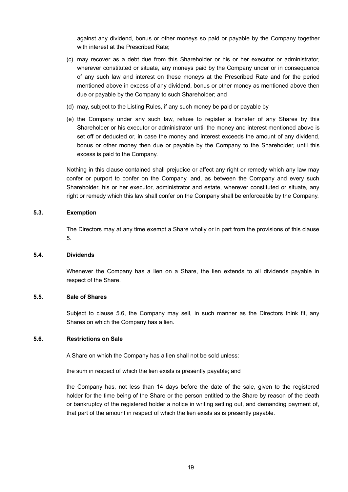against any dividend, bonus or other moneys so paid or payable by the Company together with interest at the Prescribed Rate;

- (c) may recover as a debt due from this Shareholder or his or her executor or administrator, wherever constituted or situate, any moneys paid by the Company under or in consequence of any such law and interest on these moneys at the Prescribed Rate and for the period mentioned above in excess of any dividend, bonus or other money as mentioned above then due or payable by the Company to such Shareholder; and
- (d) may, subject to the Listing Rules, if any such money be paid or payable by
- (e) the Company under any such law, refuse to register a transfer of any Shares by this Shareholder or his executor or administrator until the money and interest mentioned above is set off or deducted or, in case the money and interest exceeds the amount of any dividend, bonus or other money then due or payable by the Company to the Shareholder, until this excess is paid to the Company.

Nothing in this clause contained shall prejudice or affect any right or remedy which any law may confer or purport to confer on the Company, and, as between the Company and every such Shareholder, his or her executor, administrator and estate, wherever constituted or situate, any right or remedy which this law shall confer on the Company shall be enforceable by the Company.

### **5.3. Exemption**

The Directors may at any time exempt a Share wholly or in part from the provisions of this clause 5.

### **5.4. Dividends**

Whenever the Company has a lien on a Share, the lien extends to all dividends payable in respect of the Share.

### **5.5. Sale of Shares**

Subject to clause 5.6, the Company may sell, in such manner as the Directors think fit, any Shares on which the Company has a lien.

### **5.6. Restrictions on Sale**

A Share on which the Company has a lien shall not be sold unless:

the sum in respect of which the lien exists is presently payable; and

the Company has, not less than 14 days before the date of the sale, given to the registered holder for the time being of the Share or the person entitled to the Share by reason of the death or bankruptcy of the registered holder a notice in writing setting out, and demanding payment of, that part of the amount in respect of which the lien exists as is presently payable.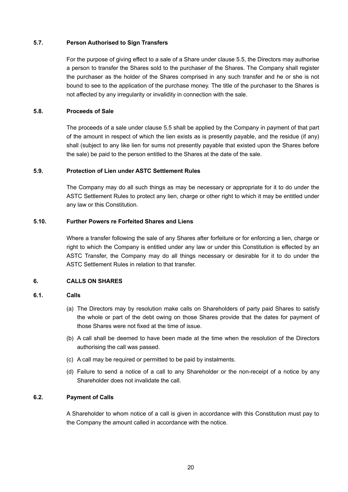# **5.7. Person Authorised to Sign Transfers**

For the purpose of giving effect to a sale of a Share under clause 5.5, the Directors may authorise a person to transfer the Shares sold to the purchaser of the Shares. The Company shall register the purchaser as the holder of the Shares comprised in any such transfer and he or she is not bound to see to the application of the purchase money. The title of the purchaser to the Shares is not affected by any irregularity or invalidity in connection with the sale.

# **5.8. Proceeds of Sale**

The proceeds of a sale under clause 5.5 shall be applied by the Company in payment of that part of the amount in respect of which the lien exists as is presently payable, and the residue (if any) shall (subject to any like lien for sums not presently payable that existed upon the Shares before the sale) be paid to the person entitled to the Shares at the date of the sale.

# **5.9. Protection of Lien under ASTC Settlement Rules**

The Company may do all such things as may be necessary or appropriate for it to do under the ASTC Settlement Rules to protect any lien, charge or other right to which it may be entitled under any law or this Constitution.

# **5.10. Further Powers re Forfeited Shares and Liens**

Where a transfer following the sale of any Shares after forfeiture or for enforcing a lien, charge or right to which the Company is entitled under any law or under this Constitution is effected by an ASTC Transfer, the Company may do all things necessary or desirable for it to do under the ASTC Settlement Rules in relation to that transfer.

### **6. CALLS ON SHARES**

### **6.1. Calls**

- (a) The Directors may by resolution make calls on Shareholders of party paid Shares to satisfy the whole or part of the debt owing on those Shares provide that the dates for payment of those Shares were not fixed at the time of issue.
- (b) A call shall be deemed to have been made at the time when the resolution of the Directors authorising the call was passed.
- (c) A call may be required or permitted to be paid by instalments.
- (d) Failure to send a notice of a call to any Shareholder or the non-receipt of a notice by any Shareholder does not invalidate the call.

# **6.2. Payment of Calls**

A Shareholder to whom notice of a call is given in accordance with this Constitution must pay to the Company the amount called in accordance with the notice.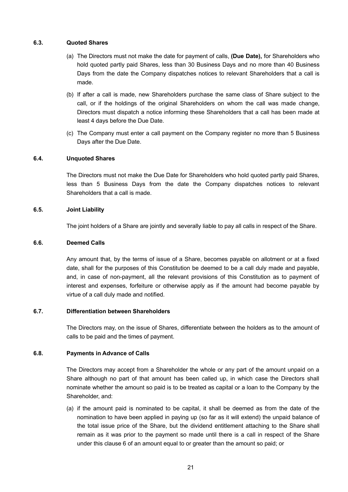# **6.3. Quoted Shares**

- (a) The Directors must not make the date for payment of calls, **(Due Date),** for Shareholders who hold quoted partly paid Shares, less than 30 Business Days and no more than 40 Business Days from the date the Company dispatches notices to relevant Shareholders that a call is made.
- (b) If after a call is made, new Shareholders purchase the same class of Share subject to the call, or if the holdings of the original Shareholders on whom the call was made change, Directors must dispatch a notice informing these Shareholders that a call has been made at least 4 days before the Due Date.
- (c) The Company must enter a call payment on the Company register no more than 5 Business Days after the Due Date.

# **6.4. Unquoted Shares**

The Directors must not make the Due Date for Shareholders who hold quoted partly paid Shares, less than 5 Business Days from the date the Company dispatches notices to relevant Shareholders that a call is made.

# **6.5. Joint Liability**

The joint holders of a Share are jointly and severally liable to pay all calls in respect of the Share.

# **6.6. Deemed Calls**

Any amount that, by the terms of issue of a Share, becomes payable on allotment or at a fixed date, shall for the purposes of this Constitution be deemed to be a call duly made and payable, and, in case of non-payment, all the relevant provisions of this Constitution as to payment of interest and expenses, forfeiture or otherwise apply as if the amount had become payable by virtue of a call duly made and notified.

# **6.7. Differentiation between Shareholders**

The Directors may, on the issue of Shares, differentiate between the holders as to the amount of calls to be paid and the times of payment.

### **6.8. Payments in Advance of Calls**

The Directors may accept from a Shareholder the whole or any part of the amount unpaid on a Share although no part of that amount has been called up, in which case the Directors shall nominate whether the amount so paid is to be treated as capital or a loan to the Company by the Shareholder, and:

(a) if the amount paid is nominated to be capital, it shall be deemed as from the date of the nomination to have been applied in paying up (so far as it will extend) the unpaid balance of the total issue price of the Share, but the dividend entitlement attaching to the Share shall remain as it was prior to the payment so made until there is a call in respect of the Share under this clause 6 of an amount equal to or greater than the amount so paid; or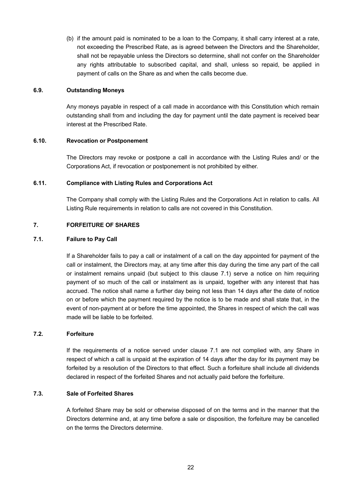(b) if the amount paid is nominated to be a loan to the Company, it shall carry interest at a rate, not exceeding the Prescribed Rate, as is agreed between the Directors and the Shareholder, shall not be repayable unless the Directors so determine, shall not confer on the Shareholder any rights attributable to subscribed capital, and shall, unless so repaid, be applied in payment of calls on the Share as and when the calls become due.

#### **6.9. Outstanding Moneys**

Any moneys payable in respect of a call made in accordance with this Constitution which remain outstanding shall from and including the day for payment until the date payment is received bear interest at the Prescribed Rate.

#### **6.10. Revocation or Postponement**

The Directors may revoke or postpone a call in accordance with the Listing Rules and/ or the Corporations Act, if revocation or postponement is not prohibited by either.

#### **6.11. Compliance with Listing Rules and Corporations Act**

The Company shall comply with the Listing Rules and the Corporations Act in relation to calls. All Listing Rule requirements in relation to calls are not covered in this Constitution.

#### **7. FORFEITURE OF SHARES**

### **7.1. Failure to Pay Call**

If a Shareholder fails to pay a call or instalment of a call on the day appointed for payment of the call or instalment, the Directors may, at any time after this day during the time any part of the call or instalment remains unpaid (but subject to this clause 7.1) serve a notice on him requiring payment of so much of the call or instalment as is unpaid, together with any interest that has accrued. The notice shall name a further day being not less than 14 days after the date of notice on or before which the payment required by the notice is to be made and shall state that, in the event of non-payment at or before the time appointed, the Shares in respect of which the call was made will be liable to be forfeited.

#### **7.2. Forfeiture**

If the requirements of a notice served under clause 7.1 are not complied with, any Share in respect of which a call is unpaid at the expiration of 14 days after the day for its payment may be forfeited by a resolution of the Directors to that effect. Such a forfeiture shall include all dividends declared in respect of the forfeited Shares and not actually paid before the forfeiture.

# **7.3. Sale of Forfeited Shares**

A forfeited Share may be sold or otherwise disposed of on the terms and in the manner that the Directors determine and, at any time before a sale or disposition, the forfeiture may be cancelled on the terms the Directors determine.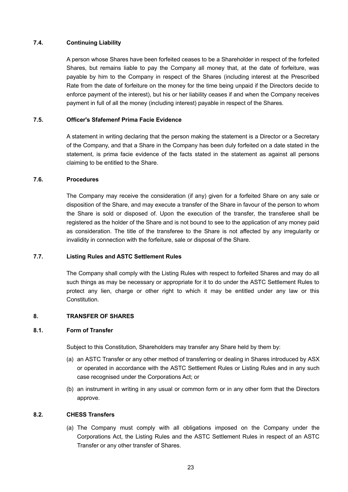# **7.4. Continuing Liability**

A person whose Shares have been forfeited ceases to be a Shareholder in respect of the forfeited Shares, but remains liable to pay the Company all money that, at the date of forfeiture, was payable by him to the Company in respect of the Shares (including interest at the Prescribed Rate from the date of forfeiture on the money for the time being unpaid if the Directors decide to enforce payment of the interest), but his or her liability ceases if and when the Company receives payment in full of all the money (including interest) payable in respect of the Shares.

# **7.5. Officer's Sfafemenf Prima Facie Evidence**

A statement in writing declaring that the person making the statement is a Director or a Secretary of the Company, and that a Share in the Company has been duly forfeited on a date stated in the statement, is prima facie evidence of the facts stated in the statement as against all persons claiming to be entitled to the Share.

#### **7.6. Procedures**

The Company may receive the consideration (if any) given for a forfeited Share on any sale or disposition of the Share, and may execute a transfer of the Share in favour of the person to whom the Share is sold or disposed of. Upon the execution of the transfer, the transferee shall be registered as the holder of the Share and is not bound to see to the application of any money paid as consideration. The title of the transferee to the Share is not affected by any irregularity or invalidity in connection with the forfeiture, sale or disposal of the Share.

### **7.7. Listing Rules and ASTC Settlement Rules**

The Company shall comply with the Listing Rules with respect to forfeited Shares and may do all such things as may be necessary or appropriate for it to do under the ASTC Settlement Rules to protect any lien, charge or other right to which it may be entitled under any law or this **Constitution** 

### **8. TRANSFER OF SHARES**

#### **8.1. Form of Transfer**

Subject to this Constitution, Shareholders may transfer any Share held by them by:

- (a) an ASTC Transfer or any other method of transferring or dealing in Shares introduced by ASX or operated in accordance with the ASTC Settlement Rules or Listing Rules and in any such case recognised under the Corporations Act; or
- (b) an instrument in writing in any usual or common form or in any other form that the Directors approve.

### **8.2. CHESS Transfers**

(a) The Company must comply with all obligations imposed on the Company under the Corporations Act, the Listing Rules and the ASTC Settlement Rules in respect of an ASTC Transfer or any other transfer of Shares.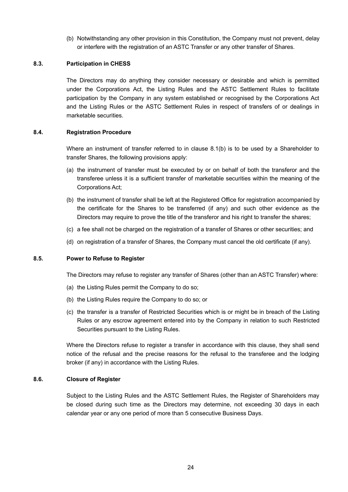(b) Notwithstanding any other provision in this Constitution, the Company must not prevent, delay or interfere with the registration of an ASTC Transfer or any other transfer of Shares.

#### **8.3. Participation in CHESS**

The Directors may do anything they consider necessary or desirable and which is permitted under the Corporations Act, the Listing Rules and the ASTC Settlement Rules to facilitate participation by the Company in any system established or recognised by the Corporations Act and the Listing Rules or the ASTC Settlement Rules in respect of transfers of or dealings in marketable securities.

#### **8.4. Registration Procedure**

Where an instrument of transfer referred to in clause 8.1(b) is to be used by a Shareholder to transfer Shares, the following provisions apply:

- (a) the instrument of transfer must be executed by or on behalf of both the transferor and the transferee unless it is a sufficient transfer of marketable securities within the meaning of the Corporations Act;
- (b) the instrument of transfer shall be left at the Registered Office for registration accompanied by the certificate for the Shares to be transferred (if any) and such other evidence as the Directors may require to prove the title of the transferor and his right to transfer the shares;
- (c) a fee shall not be charged on the registration of a transfer of Shares or other securities; and
- (d) on registration of a transfer of Shares, the Company must cancel the old certificate (if any).

# **8.5. Power to Refuse to Register**

The Directors may refuse to register any transfer of Shares (other than an ASTC Transfer) where:

- (a) the Listing Rules permit the Company to do so;
- (b) the Listing Rules require the Company to do so; or
- (c) the transfer is a transfer of Restricted Securities which is or might be in breach of the Listing Rules or any escrow agreement entered into by the Company in relation to such Restricted Securities pursuant to the Listing Rules.

Where the Directors refuse to register a transfer in accordance with this clause, they shall send notice of the refusal and the precise reasons for the refusal to the transferee and the lodging broker (if any) in accordance with the Listing Rules.

#### **8.6. Closure of Register**

Subject to the Listing Rules and the ASTC Settlement Rules, the Register of Shareholders may be closed during such time as the Directors may determine, not exceeding 30 days in each calendar year or any one period of more than 5 consecutive Business Days.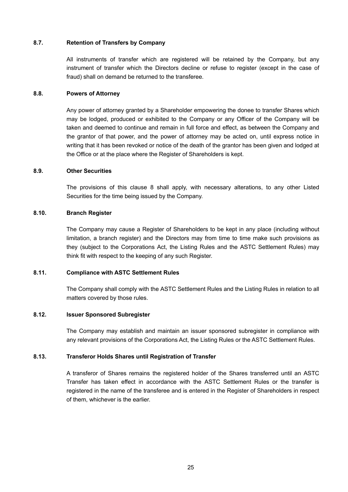# **8.7. Retention of Transfers by Company**

All instruments of transfer which are registered will be retained by the Company, but any instrument of transfer which the Directors decline or refuse to register (except in the case of fraud) shall on demand be returned to the transferee.

# **8.8. Powers of Attorney**

Any power of attorney granted by a Shareholder empowering the donee to transfer Shares which may be lodged, produced or exhibited to the Company or any Officer of the Company will be taken and deemed to continue and remain in full force and effect, as between the Company and the grantor of that power, and the power of attorney may be acted on, until express notice in writing that it has been revoked or notice of the death of the grantor has been given and lodged at the Office or at the place where the Register of Shareholders is kept.

# **8.9. Other Securities**

The provisions of this clause 8 shall apply, with necessary alterations, to any other Listed Securities for the time being issued by the Company.

# **8.10. Branch Register**

The Company may cause a Register of Shareholders to be kept in any place (including without limitation, a branch register) and the Directors may from time to time make such provisions as they (subject to the Corporations Act, the Listing Rules and the ASTC Settlement Rules) may think fit with respect to the keeping of any such Register.

# **8.11. Compliance with ASTC Settlement Rules**

The Company shall comply with the ASTC Settlement Rules and the Listing Rules in relation to all matters covered by those rules.

## **8.12. Issuer Sponsored Subregister**

The Company may establish and maintain an issuer sponsored subregister in compliance with any relevant provisions of the Corporations Act, the Listing Rules or the ASTC Settlement Rules.

# **8.13. Transferor Holds Shares until Registration of Transfer**

A transferor of Shares remains the registered holder of the Shares transferred until an ASTC Transfer has taken effect in accordance with the ASTC Settlement Rules or the transfer is registered in the name of the transferee and is entered in the Register of Shareholders in respect of them, whichever is the earlier.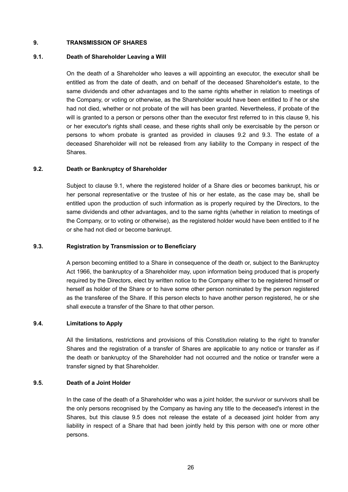### **9. TRANSMISSION OF SHARES**

#### **9.1. Death of Shareholder Leaving a Will**

On the death of a Shareholder who leaves a will appointing an executor, the executor shall be entitled as from the date of death, and on behalf of the deceased Shareholder's estate, to the same dividends and other advantages and to the same rights whether in relation to meetings of the Company, or voting or otherwise, as the Shareholder would have been entitled to if he or she had not died, whether or not probate of the will has been granted. Nevertheless, if probate of the will is granted to a person or persons other than the executor first referred to in this clause 9, his or her executor's rights shall cease, and these rights shall only be exercisable by the person or persons to whom probate is granted as provided in clauses 9.2 and 9.3. The estate of a deceased Shareholder will not be released from any liability to the Company in respect of the Shares.

#### **9.2. Death or Bankruptcy of Shareholder**

Subject to clause 9.1, where the registered holder of a Share dies or becomes bankrupt, his or her personal representative or the trustee of his or her estate, as the case may be, shall be entitled upon the production of such information as is properly required by the Directors, to the same dividends and other advantages, and to the same rights (whether in relation to meetings of the Company, or to voting or otherwise), as the registered holder would have been entitled to if he or she had not died or become bankrupt.

#### **9.3. Registration by Transmission or to Beneficiary**

A person becoming entitled to a Share in consequence of the death or, subject to the Bankruptcy Act 1966, the bankruptcy of a Shareholder may, upon information being produced that is properly required by the Directors, elect by written notice to the Company either to be registered himself or herself as holder of the Share or to have some other person nominated by the person registered as the transferee of the Share. If this person elects to have another person registered, he or she shall execute a transfer of the Share to that other person.

### **9.4. Limitations to Apply**

All the limitations, restrictions and provisions of this Constitution relating to the right to transfer Shares and the registration of a transfer of Shares are applicable to any notice or transfer as if the death or bankruptcy of the Shareholder had not occurred and the notice or transfer were a transfer signed by that Shareholder.

#### **9.5. Death of a Joint Holder**

In the case of the death of a Shareholder who was a joint holder, the survivor or survivors shall be the only persons recognised by the Company as having any title to the deceased's interest in the Shares, but this clause 9.5 does not release the estate of a deceased joint holder from any liability in respect of a Share that had been jointly held by this person with one or more other persons.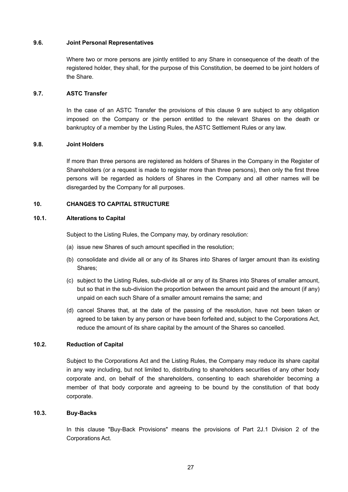#### **9.6. Joint Personal Representatives**

Where two or more persons are jointly entitled to any Share in consequence of the death of the registered holder, they shall, for the purpose of this Constitution, be deemed to be joint holders of the Share.

#### **9.7. ASTC Transfer**

In the case of an ASTC Transfer the provisions of this clause 9 are subject to any obligation imposed on the Company or the person entitled to the relevant Shares on the death or bankruptcy of a member by the Listing Rules, the ASTC Settlement Rules or any law.

#### **9.8. Joint Holders**

If more than three persons are registered as holders of Shares in the Company in the Register of Shareholders (or a request is made to register more than three persons), then only the first three persons will be regarded as holders of Shares in the Company and all other names will be disregarded by the Company for all purposes.

#### **10. CHANGES TO CAPITAL STRUCTURE**

#### **10.1. Alterations to Capital**

Subject to the Listing Rules, the Company may, by ordinary resolution:

- (a) issue new Shares of such amount specified in the resolution;
- (b) consolidate and divide all or any of its Shares into Shares of larger amount than its existing Shares;
- (c) subject to the Listing Rules, sub-divide all or any of its Shares into Shares of smaller amount, but so that in the sub-division the proportion between the amount paid and the amount (if any) unpaid on each such Share of a smaller amount remains the same; and
- (d) cancel Shares that, at the date of the passing of the resolution, have not been taken or agreed to be taken by any person or have been forfeited and, subject to the Corporations Act, reduce the amount of its share capital by the amount of the Shares so cancelled.

## **10.2. Reduction of Capital**

Subject to the Corporations Act and the Listing Rules, the Company may reduce its share capital in any way including, but not limited to, distributing to shareholders securities of any other body corporate and, on behalf of the shareholders, consenting to each shareholder becoming a member of that body corporate and agreeing to be bound by the constitution of that body corporate.

# **10.3. Buy-Backs**

In this clause "Buy-Back Provisions" means the provisions of Part 2J.1 Division 2 of the Corporations Act.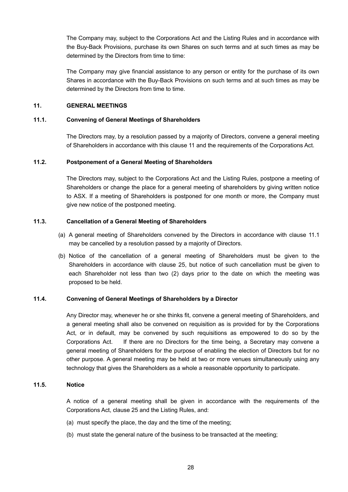The Company may, subject to the Corporations Act and the Listing Rules and in accordance with the Buy-Back Provisions, purchase its own Shares on such terms and at such times as may be determined by the Directors from time to time:

The Company may give financial assistance to any person or entity for the purchase of its own Shares in accordance with the Buy-Back Provisions on such terms and at such times as may be determined by the Directors from time to time.

# **11. GENERAL MEETINGS**

#### **11.1. Convening of General Meetings of Shareholders**

The Directors may, by a resolution passed by a majority of Directors, convene a general meeting of Shareholders in accordance with this clause 11 and the requirements of the Corporations Act.

## **11.2. Postponement of a General Meeting of Shareholders**

The Directors may, subject to the Corporations Act and the Listing Rules, postpone a meeting of Shareholders or change the place for a general meeting of shareholders by giving written notice to ASX. If a meeting of Shareholders is postponed for one month or more, the Company must give new notice of the postponed meeting.

#### **11.3. Cancellation of a General Meeting of Shareholders**

- (a) A general meeting of Shareholders convened by the Directors in accordance with clause 11.1 may be cancelled by a resolution passed by a majority of Directors.
- (b) Notice of the cancellation of a general meeting of Shareholders must be given to the Shareholders in accordance with clause 25, but notice of such cancellation must be given to each Shareholder not less than two (2) days prior to the date on which the meeting was proposed to be held.

### **11.4. Convening of General Meetings of Shareholders by a Director**

Any Director may, whenever he or she thinks fit, convene a general meeting of Shareholders, and a general meeting shall also be convened on requisition as is provided for by the Corporations Act, or in default, may be convened by such requisitions as empowered to do so by the Corporations Act. If there are no Directors for the time being, a Secretary may convene a general meeting of Shareholders for the purpose of enabling the election of Directors but for no other purpose. A general meeting may be held at two or more venues simultaneously using any technology that gives the Shareholders as a whole a reasonable opportunity to participate.

#### **11.5. Notice**

A notice of a general meeting shall be given in accordance with the requirements of the Corporations Act, clause 25 and the Listing Rules, and:

- (a) must specify the place, the day and the time of the meeting;
- (b) must state the general nature of the business to be transacted at the meeting;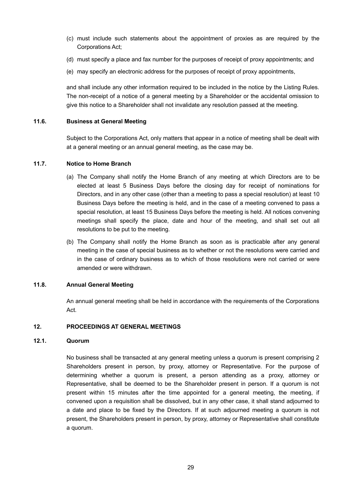- (c) must include such statements about the appointment of proxies as are required by the Corporations Act;
- (d) must specify a place and fax number for the purposes of receipt of proxy appointments; and
- (e) may specify an electronic address for the purposes of receipt of proxy appointments,

and shall include any other information required to be included in the notice by the Listing Rules. The non-receipt of a notice of a general meeting by a Shareholder or the accidental omission to give this notice to a Shareholder shall not invalidate any resolution passed at the meeting.

#### **11.6. Business at General Meeting**

Subject to the Corporations Act, only matters that appear in a notice of meeting shall be dealt with at a general meeting or an annual general meeting, as the case may be.

# **11.7. Notice to Home Branch**

- (a) The Company shall notify the Home Branch of any meeting at which Directors are to be elected at least 5 Business Days before the closing day for receipt of nominations for Directors, and in any other case (other than a meeting to pass a special resolution) at least 10 Business Days before the meeting is held, and in the case of a meeting convened to pass a special resolution, at least 15 Business Days before the meeting is held. All notices convening meetings shall specify the place, date and hour of the meeting, and shall set out all resolutions to be put to the meeting.
- (b) The Company shall notify the Home Branch as soon as is practicable after any general meeting in the case of special business as to whether or not the resolutions were carried and in the case of ordinary business as to which of those resolutions were not carried or were amended or were withdrawn.

#### **11.8. Annual General Meeting**

An annual general meeting shall be held in accordance with the requirements of the Corporations Act.

#### **12. PROCEEDINGS AT GENERAL MEETINGS**

#### **12.1. Quorum**

No business shall be transacted at any general meeting unless a quorum is present comprising 2 Shareholders present in person, by proxy, attorney or Representative. For the purpose of determining whether a quorum is present, a person attending as a proxy, attorney or Representative, shall be deemed to be the Shareholder present in person. If a quorum is not present within 15 minutes after the time appointed for a general meeting, the meeting, if convened upon a requisition shall be dissolved, but in any other case, it shall stand adjourned to a date and place to be fixed by the Directors. If at such adjourned meeting a quorum is not present, the Shareholders present in person, by proxy, attorney or Representative shall constitute a quorum.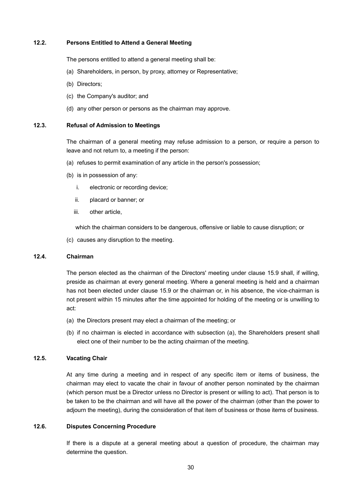# **12.2. Persons Entitled to Attend a General Meeting**

The persons entitled to attend a general meeting shall be:

- (a) Shareholders, in person, by proxy, attorney or Representative;
- (b) Directors;
- (c) the Company's auditor; and
- (d) any other person or persons as the chairman may approve.

#### **12.3. Refusal of Admission to Meetings**

The chairman of a general meeting may refuse admission to a person, or require a person to leave and not return to, a meeting if the person:

- (a) refuses to permit examination of any article in the person's possession;
- (b) is in possession of any:
	- i. electronic or recording device;
	- ii. placard or banner; or
	- iii. other article,

which the chairman considers to be dangerous, offensive or liable to cause disruption; or

(c) causes any disruption to the meeting.

#### **12.4. Chairman**

The person elected as the chairman of the Directors' meeting under clause 15.9 shall, if willing, preside as chairman at every general meeting. Where a general meeting is held and a chairman has not been elected under clause 15.9 or the chairman or, in his absence, the vice-chairman is not present within 15 minutes after the time appointed for holding of the meeting or is unwilling to act:

- (a) the Directors present may elect a chairman of the meeting; or
- (b) if no chairman is elected in accordance with subsection (a), the Shareholders present shall elect one of their number to be the acting chairman of the meeting.

### **12.5. Vacating Chair**

At any time during a meeting and in respect of any specific item or items of business, the chairman may elect to vacate the chair in favour of another person nominated by the chairman (which person must be a Director unless no Director is present or willing to act). That person is to be taken to be the chairman and will have all the power of the chairman (other than the power to adjourn the meeting), during the consideration of that item of business or those items of business.

## **12.6. Disputes Concerning Procedure**

If there is a dispute at a general meeting about a question of procedure, the chairman may determine the question.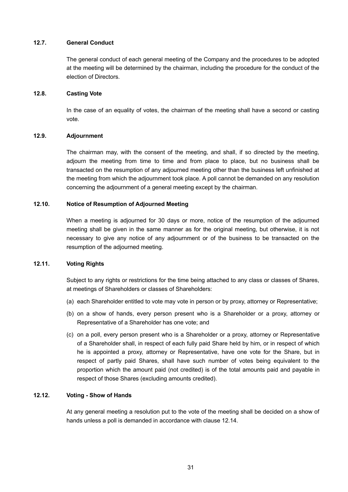# **12.7. General Conduct**

The general conduct of each general meeting of the Company and the procedures to be adopted at the meeting will be determined by the chairman, including the procedure for the conduct of the election of Directors.

# **12.8. Casting Vote**

In the case of an equality of votes, the chairman of the meeting shall have a second or casting vote.

# **12.9. Adjournment**

The chairman may, with the consent of the meeting, and shall, if so directed by the meeting, adjourn the meeting from time to time and from place to place, but no business shall be transacted on the resumption of any adjourned meeting other than the business left unfinished at the meeting from which the adjournment took place. A poll cannot be demanded on any resolution concerning the adjournment of a general meeting except by the chairman.

# **12.10. Notice of Resumption of Adjourned Meeting**

When a meeting is adjourned for 30 days or more, notice of the resumption of the adjourned meeting shall be given in the same manner as for the original meeting, but otherwise, it is not necessary to give any notice of any adjournment or of the business to be transacted on the resumption of the adjourned meeting.

# **12.11. Voting Rights**

Subject to any rights or restrictions for the time being attached to any class or classes of Shares, at meetings of Shareholders or classes of Shareholders:

- (a) each Shareholder entitled to vote may vote in person or by proxy, attorney or Representative;
- (b) on a show of hands, every person present who is a Shareholder or a proxy, attorney or Representative of a Shareholder has one vote; and
- (c) on a poll, every person present who is a Shareholder or a proxy, attorney or Representative of a Shareholder shall, in respect of each fully paid Share held by him, or in respect of which he is appointed a proxy, attorney or Representative, have one vote for the Share, but in respect of partly paid Shares, shall have such number of votes being equivalent to the proportion which the amount paid (not credited) is of the total amounts paid and payable in respect of those Shares (excluding amounts credited).

### **12.12. Voting - Show of Hands**

At any general meeting a resolution put to the vote of the meeting shall be decided on a show of hands unless a poll is demanded in accordance with clause 12.14.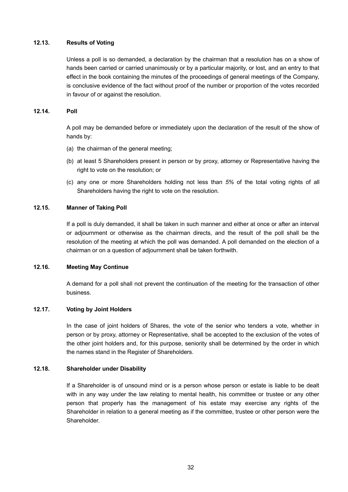# **12.13. Results of Voting**

Unless a poll is so demanded, a declaration by the chairman that a resolution has on a show of hands been carried or carried unanimously or by a particular majority, or lost, and an entry to that effect in the book containing the minutes of the proceedings of general meetings of the Company, is conclusive evidence of the fact without proof of the number or proportion of the votes recorded in favour of or against the resolution.

# **12.14. Poll**

A poll may be demanded before or immediately upon the declaration of the result of the show of hands by:

- (a) the chairman of the general meeting;
- (b) at least 5 Shareholders present in person or by proxy, attorney or Representative having the right to vote on the resolution; or
- (c) any one or more Shareholders holding not less than *5%* of the total voting rights of all Shareholders having the right to vote on the resolution.

# **12.15. Manner of Taking Poll**

If a poll is duly demanded, it shall be taken in such manner and either at once or after an interval or adjournment or otherwise as the chairman directs, and the result of the poll shall be the resolution of the meeting at which the poll was demanded. A poll demanded on the election of a chairman or on a question of adjournment shall be taken forthwith.

### **12.16. Meeting May Continue**

A demand for a poll shall not prevent the continuation of the meeting for the transaction of other business.

### **12.17. Voting by Joint Holders**

In the case of joint holders of Shares, the vote of the senior who tenders a vote, whether in person or by proxy, attorney or Representative, shall be accepted to the exclusion of the votes of the other joint holders and, for this purpose, seniority shall be determined by the order in which the names stand in the Register of Shareholders.

### **12.18. Shareholder under Disability**

If a Shareholder is of unsound mind or is a person whose person or estate is liable to be dealt with in any way under the law relating to mental health, his committee or trustee or any other person that properly has the management of his estate may exercise any rights of the Shareholder in relation to a general meeting as if the committee, trustee or other person were the Shareholder.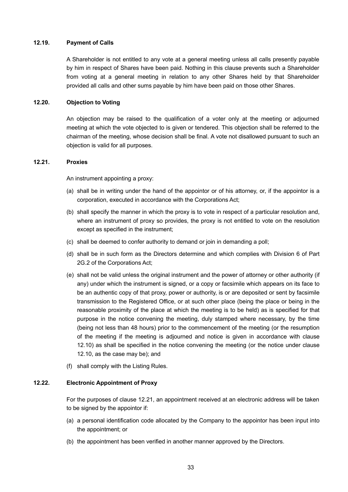# **12.19. Payment of Calls**

A Shareholder is not entitled to any vote at a general meeting unless all calls presently payable by him in respect of Shares have been paid. Nothing in this clause prevents such a Shareholder from voting at a general meeting in relation to any other Shares held by that Shareholder provided all calls and other sums payable by him have been paid on those other Shares.

# **12.20. Objection to Voting**

An objection may be raised to the qualification of a voter only at the meeting or adjourned meeting at which the vote objected to is given or tendered. This objection shall be referred to the chairman of the meeting, whose decision shall be final. A vote not disallowed pursuant to such an objection is valid for all purposes.

#### **12.21. Proxies**

An instrument appointing a proxy:

- (a) shall be in writing under the hand of the appointor or of his attorney, or, if the appointor is a corporation, executed in accordance with the Corporations Act;
- (b) shall specify the manner in which the proxy is to vote in respect of a particular resolution and, where an instrument of proxy so provides, the proxy is not entitled to vote on the resolution except as specified in the instrument;
- (c) shall be deemed to confer authority to demand or join in demanding a poll;
- (d) shall be in such form as the Directors determine and which complies with Division 6 of Part 2G.2 of the Corporations Act;
- (e) shall not be valid unless the original instrument and the power of attorney or other authority (if any) under which the instrument is signed, or a copy or facsimile which appears on its face to be an authentic copy of that proxy, power or authority, is or are deposited or sent by facsimile transmission to the Registered Office, or at such other place (being the place or being in the reasonable proximity of the place at which the meeting is to be held) as is specified for that purpose in the notice convening the meeting, duly stamped where necessary, by the time (being not less than 48 hours) prior to the commencement of the meeting (or the resumption of the meeting if the meeting is adjourned and notice is given in accordance with clause 12.10) as shall be specified in the notice convening the meeting (or the notice under clause 12.10, as the case may be); and
- (f) shall comply with the Listing Rules.

#### **12.22. Electronic Appointment of Proxy**

For the purposes of clause 12.21, an appointment received at an electronic address will be taken to be signed by the appointor if:

- (a) a personal identification code allocated by the Company to the appointor has been input into the appointment; or
- (b) the appointment has been verified in another manner approved by the Directors.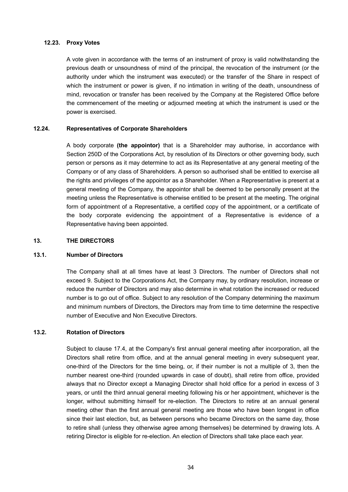# **12.23. Proxy Votes**

A vote given in accordance with the terms of an instrument of proxy is valid notwithstanding the previous death or unsoundness of mind of the principal, the revocation of the instrument (or the authority under which the instrument was executed) or the transfer of the Share in respect of which the instrument or power is given, if no intimation in writing of the death, unsoundness of mind, revocation or transfer has been received by the Company at the Registered Office before the commencement of the meeting or adjourned meeting at which the instrument is used or the power is exercised.

### **12.24. Representatives of Corporate Shareholders**

A body corporate **(the appointor)** that is a Shareholder may authorise, in accordance with Section 250D of the Corporations Act, by resolution of its Directors or other governing body, such person or persons as it may determine to act as its Representative at any general meeting of the Company or of any class of Shareholders. A person so authorised shall be entitled to exercise all the rights and privileges of the appointor as a Shareholder. When a Representative is present at a general meeting of the Company, the appointor shall be deemed to be personally present at the meeting unless the Representative is otherwise entitled to be present at the meeting. The original form of appointment of a Representative, a certified copy of the appointment, or a certificate of the body corporate evidencing the appointment of a Representative is evidence of a Representative having been appointed.

### **13. THE DIRECTORS**

# **13.1. Number of Directors**

The Company shall at all times have at least 3 Directors. The number of Directors shall not exceed 9. Subject to the Corporations Act, the Company may, by ordinary resolution, increase or reduce the number of Directors and may also determine in what rotation the increased or reduced number is to go out of office. Subject to any resolution of the Company determining the maximum and minimum numbers of Directors, the Directors may from time to time determine the respective number of Executive and Non Executive Directors.

# **13.2. Rotation of Directors**

Subject to clause 17.4, at the Company's first annual general meeting after incorporation, all the Directors shall retire from office, and at the annual general meeting in every subsequent year, one-third of the Directors for the time being, or, if their number is not a multiple of 3, then the number nearest one-third (rounded upwards in case of doubt), shall retire from office, provided always that no Director except a Managing Director shall hold office for a period in excess of 3 years, or until the third annual general meeting following his or her appointment, whichever is the longer, without submitting himself for re-election. The Directors to retire at an annual general meeting other than the first annual general meeting are those who have been longest in office since their last election, but, as between persons who became Directors on the same day, those to retire shall (unless they otherwise agree among themselves) be determined by drawing lots. A retiring Director is eligible for re-election. An election of Directors shall take place each year.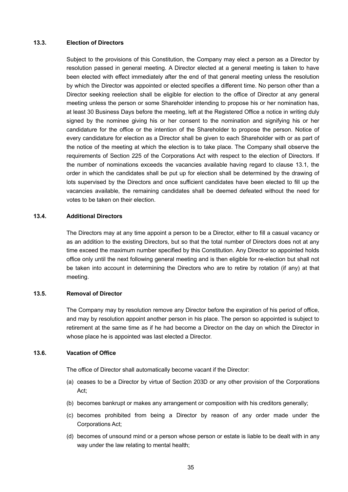#### **13.3. Election of Directors**

Subject to the provisions of this Constitution, the Company may elect a person as a Director by resolution passed in general meeting. A Director elected at a general meeting is taken to have been elected with effect immediately after the end of that general meeting unless the resolution by which the Director was appointed or elected specifies a different time. No person other than a Director seeking reelection shall be eligible for election to the office of Director at any general meeting unless the person or some Shareholder intending to propose his or her nomination has, at least 30 Business Days before the meeting, left at the Registered Office a notice in writing duly signed by the nominee giving his or her consent to the nomination and signifying his or her candidature for the office or the intention of the Shareholder to propose the person. Notice of every candidature for election as a Director shall be given to each Shareholder with or as part of the notice of the meeting at which the election is to take place. The Company shall observe the requirements of Section 225 of the Corporations Act with respect to the election of Directors. If the number of nominations exceeds the vacancies available having regard to clause 13.1, the order in which the candidates shall be put up for election shall be determined by the drawing of lots supervised by the Directors and once sufficient candidates have been elected to fill up the vacancies available, the remaining candidates shall be deemed defeated without the need for votes to be taken on their election.

#### **13.4. Additional Directors**

The Directors may at any time appoint a person to be a Director, either to fill a casual vacancy or as an addition to the existing Directors, but so that the total number of Directors does not at any time exceed the maximum number specified by this Constitution. Any Director so appointed holds office only until the next following general meeting and is then eligible for re-election but shall not be taken into account in determining the Directors who are to retire by rotation (if any) at that meeting.

#### **13.5. Removal of Director**

The Company may by resolution remove any Director before the expiration of his period of office, and may by resolution appoint another person in his place. The person so appointed is subject to retirement at the same time as if he had become a Director on the day on which the Director in whose place he is appointed was last elected a Director.

#### **13.6. Vacation of Office**

The office of Director shall automatically become vacant if the Director:

- (a) ceases to be a Director by virtue of Section 203D or any other provision of the Corporations Act;
- (b) becomes bankrupt or makes any arrangement or composition with his creditors generally;
- (c) becomes prohibited from being a Director by reason of any order made under the Corporations Act;
- (d) becomes of unsound mind or a person whose person or estate is liable to be dealt with in any way under the law relating to mental health;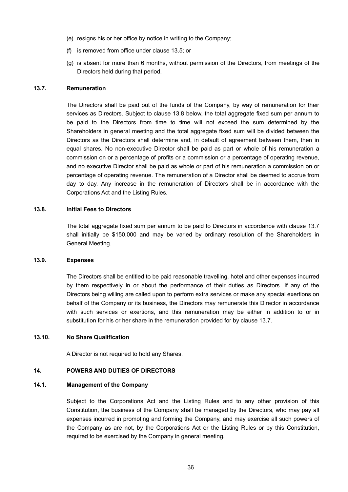- (e) resigns his or her office by notice in writing to the Company;
- (f) is removed from office under clause 13.5; or
- (g) is absent for more than 6 months, without permission of the Directors, from meetings of the Directors held during that period.

# **13.7. Remuneration**

The Directors shall be paid out of the funds of the Company, by way of remuneration for their services as Directors. Subject to clause 13.8 below, the total aggregate fixed sum per annum to be paid to the Directors from time to time will not exceed the sum determined by the Shareholders in general meeting and the total aggregate fixed sum will be divided between the Directors as the Directors shall determine and, in default of agreement between them, then in equal shares. No non-executive Director shall be paid as part or whole of his remuneration a commission on or a percentage of profits or a commission or a percentage of operating revenue, and no executive Director shall be paid as whole or part of his remuneration a commission on or percentage of operating revenue. The remuneration of a Director shall be deemed to accrue from day to day. Any increase in the remuneration of Directors shall be in accordance with the Corporations Act and the Listing Rules.

#### **13.8. Initial Fees to Directors**

The total aggregate fixed sum per annum to be paid to Directors in accordance with clause 13.7 shall initially be \$150,000 and may be varied by ordinary resolution of the Shareholders in General Meeting.

#### **13.9. Expenses**

The Directors shall be entitled to be paid reasonable travelling, hotel and other expenses incurred by them respectively in or about the performance of their duties as Directors. If any of the Directors being willing are called upon to perform extra services or make any special exertions on behalf of the Company or its business, the Directors may remunerate this Director in accordance with such services or exertions, and this remuneration may be either in addition to or in substitution for his or her share in the remuneration provided for by clause 13.7.

## **13.10. No Share Qualification**

A Director is not required to hold any Shares.

### **14. POWERS AND DUTIES OF DIRECTORS**

#### **14.1. Management of the Company**

Subject to the Corporations Act and the Listing Rules and to any other provision of this Constitution, the business of the Company shall be managed by the Directors, who may pay all expenses incurred in promoting and forming the Company, and may exercise all such powers of the Company as are not, by the Corporations Act or the Listing Rules or by this Constitution, required to be exercised by the Company in general meeting.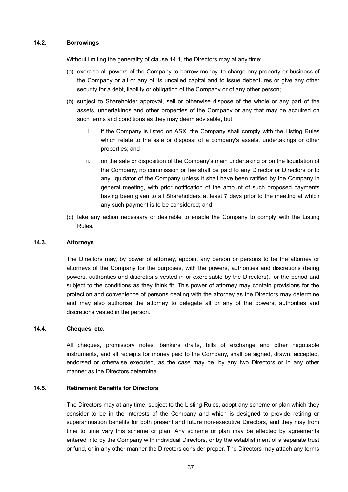### **14.2. Borrowings**

Without limiting the generality of clause 14.1, the Directors may at any time:

- (a) exercise all powers of the Company to borrow money, to charge any property or business of the Company or all or any of its uncalled capital and to issue debentures or give any other security for a debt, liability or obligation of the Company or of any other person;
- (b) subject to Shareholder approval, sell or otherwise dispose of the whole or any part of the assets, undertakings and other properties of the Company or any that may be acquired on such terms and conditions as they may deem advisable, but:
	- i. if the Company is listed on ASX, the Company shall comply with the Listing Rules which relate to the sale or disposal of a company's assets, undertakings or other properties; and
	- ii. on the sale or disposition of the Company's main undertaking or on the liquidation of the Company, no commission or fee shall be paid to any Director or Directors or to any liquidator of the Company unless it shall have been ratified by the Company in general meeting, with prior notification of the amount of such proposed payments having been given to all Shareholders at least 7 days prior to the meeting at which any such payment is to be considered; and
- (c) take any action necessary or desirable to enable the Company to comply with the Listing Rules.

### **14.3. Attorneys**

The Directors may, by power of attorney, appoint any person or persons to be the attorney or attorneys of the Company for the purposes, with the powers, authorities and discretions (being powers, authorities and discretions vested in or exercisable by the Directors), for the period and subject to the conditions as they think fit. This power of attorney may contain provisions for the protection and convenience of persons dealing with the attorney as the Directors may determine and may also authorise the attorney to delegate all or any of the powers, authorities and discretions vested in the person.

### **14.4. Cheques, etc.**

All cheques, promissory notes, bankers drafts, bills of exchange and other negotiable instruments, and all receipts for money paid to the Company, shall be signed, drawn, accepted, endorsed or otherwise executed, as the case may be, by any two Directors or in any other manner as the Directors determine.

### **14.5. Retirement Benefits for Directors**

The Directors may at any time, subject to the Listing Rules, adopt any scheme or plan which they consider to be in the interests of the Company and which is designed to provide retiring or superannuation benefits for both present and future non-executive Directors, and they may from time to time vary this scheme or plan. Any scheme or plan may be effected by agreements entered into by the Company with individual Directors, or by the establishment of a separate trust or fund, or in any other manner the Directors consider proper. The Directors may attach any terms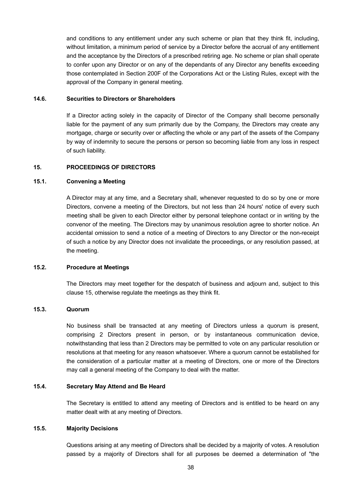and conditions to any entitlement under any such scheme or plan that they think fit, including, without limitation, a minimum period of service by a Director before the accrual of any entitlement and the acceptance by the Directors of a prescribed retiring age. No scheme or plan shall operate to confer upon any Director or on any of the dependants of any Director any benefits exceeding those contemplated in Section 200F of the Corporations Act or the Listing Rules, except with the approval of the Company in general meeting.

#### **14.6. Securities to Directors or Shareholders**

If a Director acting solely in the capacity of Director of the Company shall become personally liable for the payment of any sum primarily due by the Company, the Directors may create any mortgage, charge or security over or affecting the whole or any part of the assets of the Company by way of indemnity to secure the persons or person so becoming liable from any loss in respect of such liability.

### **15. PROCEEDINGS OF DIRECTORS**

#### **15.1. Convening a Meeting**

A Director may at any time, and a Secretary shall, whenever requested to do so by one or more Directors, convene a meeting of the Directors, but not less than 24 hours' notice of every such meeting shall be given to each Director either by personal telephone contact or in writing by the convenor of the meeting. The Directors may by unanimous resolution agree to shorter notice. An accidental omission to send a notice of a meeting of Directors to any Director or the non-receipt of such a notice by any Director does not invalidate the proceedings, or any resolution passed, at the meeting.

#### **15.2. Procedure at Meetings**

The Directors may meet together for the despatch of business and adjourn and, subject to this clause 15, otherwise regulate the meetings as they think fit.

### **15.3. Quorum**

No business shall be transacted at any meeting of Directors unless a quorum is present, comprising 2 Directors present in person, or by instantaneous communication device, notwithstanding that less than 2 Directors may be permitted to vote on any particular resolution or resolutions at that meeting for any reason whatsoever. Where a quorum cannot be established for the consideration of a particular matter at a meeting of Directors, one or more of the Directors may call a general meeting of the Company to deal with the matter.

# **15.4. Secretary May Attend and Be Heard**

The Secretary is entitled to attend any meeting of Directors and is entitled to be heard on any matter dealt with at any meeting of Directors.

### **15.5. Majority Decisions**

Questions arising at any meeting of Directors shall be decided by a majority of votes. A resolution passed by a majority of Directors shall for all purposes be deemed a determination of "the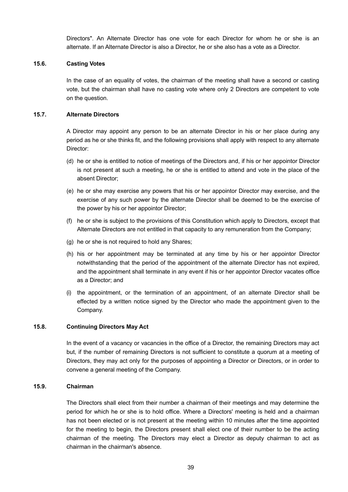Directors". An Alternate Director has one vote for each Director for whom he or she is an alternate. If an Alternate Director is also a Director, he or she also has a vote as a Director.

# **15.6. Casting Votes**

In the case of an equality of votes, the chairman of the meeting shall have a second or casting vote, but the chairman shall have no casting vote where only 2 Directors are competent to vote on the question.

#### **15.7. Alternate Directors**

A Director may appoint any person to be an alternate Director in his or her place during any period as he or she thinks fit, and the following provisions shall apply with respect to any alternate Director:

- (d) he or she is entitled to notice of meetings of the Directors and, if his or her appointor Director is not present at such a meeting, he or she is entitled to attend and vote in the place of the absent Director;
- (e) he or she may exercise any powers that his or her appointor Director may exercise, and the exercise of any such power by the alternate Director shall be deemed to be the exercise of the power by his or her appointor Director;
- (f) he or she is subject to the provisions of this Constitution which apply to Directors, except that Alternate Directors are not entitled in that capacity to any remuneration from the Company;
- (g) he or she is not required to hold any Shares;
- (h) his or her appointment may be terminated at any time by his or her appointor Director notwithstanding that the period of the appointment of the alternate Director has not expired, and the appointment shall terminate in any event if his or her appointor Director vacates office as a Director; and
- (i) the appointment, or the termination of an appointment, of an alternate Director shall be effected by a written notice signed by the Director who made the appointment given to the Company.

#### **15.8. Continuing Directors May Act**

In the event of a vacancy or vacancies in the office of a Director, the remaining Directors may act but, if the number of remaining Directors is not sufficient to constitute a quorum at a meeting of Directors, they may act only for the purposes of appointing a Director or Directors, or in order to convene a general meeting of the Company.

#### **15.9. Chairman**

The Directors shall elect from their number a chairman of their meetings and may determine the period for which he or she is to hold office. Where a Directors' meeting is held and a chairman has not been elected or is not present at the meeting within 10 minutes after the time appointed for the meeting to begin, the Directors present shall elect one of their number to be the acting chairman of the meeting. The Directors may elect a Director as deputy chairman to act as chairman in the chairman's absence.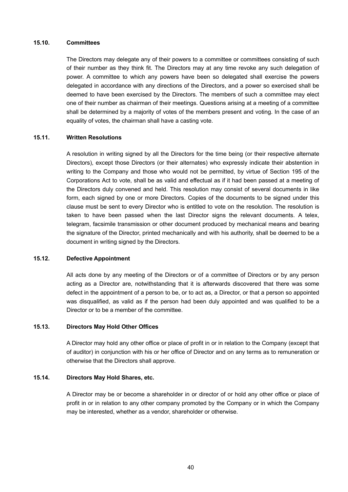#### **15.10. Committees**

The Directors may delegate any of their powers to a committee or committees consisting of such of their number as they think fit. The Directors may at any time revoke any such delegation of power. A committee to which any powers have been so delegated shall exercise the powers delegated in accordance with any directions of the Directors, and a power so exercised shall be deemed to have been exercised by the Directors. The members of such a committee may elect one of their number as chairman of their meetings. Questions arising at a meeting of a committee shall be determined by a majority of votes of the members present and voting. In the case of an equality of votes, the chairman shall have a casting vote.

### **15.11. Written Resolutions**

A resolution in writing signed by all the Directors for the time being (or their respective alternate Directors), except those Directors (or their alternates) who expressly indicate their abstention in writing to the Company and those who would not be permitted, by virtue of Section 195 of the Corporations Act to vote, shall be as valid and effectual as if it had been passed at a meeting of the Directors duly convened and held. This resolution may consist of several documents in like form, each signed by one or more Directors. Copies of the documents to be signed under this clause must be sent to every Director who is entitled to vote on the resolution. The resolution is taken to have been passed when the last Director signs the relevant documents. A telex, telegram, facsimile transmission or other document produced by mechanical means and bearing the signature of the Director, printed mechanically and with his authority, shall be deemed to be a document in writing signed by the Directors.

#### **15.12. Defective Appointment**

All acts done by any meeting of the Directors or of a committee of Directors or by any person acting as a Director are, notwithstanding that it is afterwards discovered that there was some defect in the appointment of a person to be, or to act as, a Director, or that a person so appointed was disqualified, as valid as if the person had been duly appointed and was qualified to be a Director or to be a member of the committee.

#### **15.13. Directors May Hold Other Offices**

A Director may hold any other office or place of profit in or in relation to the Company (except that of auditor) in conjunction with his or her office of Director and on any terms as to remuneration or otherwise that the Directors shall approve.

#### **15.14. Directors May Hold Shares, etc.**

A Director may be or become a shareholder in or director of or hold any other office or place of profit in or in relation to any other company promoted by the Company or in which the Company may be interested, whether as a vendor, shareholder or otherwise.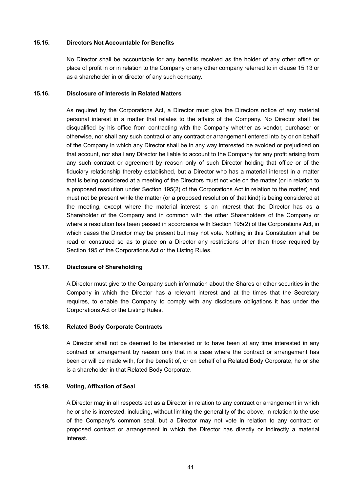#### **15.15. Directors Not Accountable for Benefits**

No Director shall be accountable for any benefits received as the holder of any other office or place of profit in or in relation to the Company or any other company referred to in clause 15.13 or as a shareholder in or director of any such company.

#### **15.16. Disclosure of Interests in Related Matters**

As required by the Corporations Act, a Director must give the Directors notice of any material personal interest in a matter that relates to the affairs of the Company. No Director shall be disqualified by his office from contracting with the Company whether as vendor, purchaser or otherwise, nor shall any such contract or any contract or arrangement entered into by or on behalf of the Company in which any Director shall be in any way interested be avoided or prejudiced on that account, nor shall any Director be liable to account to the Company for any profit arising from any such contract or agreement by reason only of such Director holding that office or of the fiduciary relationship thereby established, but a Director who has a material interest in a matter that is being considered at a meeting of the Directors must not vote on the matter (or in relation to a proposed resolution under Section 195(2) of the Corporations Act in relation to the matter) and must not be present while the matter (or a proposed resolution of that kind) is being considered at the meeting, except where the material interest is an interest that the Director has as a Shareholder of the Company and in common with the other Shareholders of the Company or where a resolution has been passed in accordance with Section 195(2) of the Corporations Act, in which cases the Director may be present but may not vote. Nothing in this Constitution shall be read or construed so as to place on a Director any restrictions other than those required by Section 195 of the Corporations Act or the Listing Rules.

### **15.17. Disclosure of Shareholding**

A Director must give to the Company such information about the Shares or other securities in the Company in which the Director has a relevant interest and at the times that the Secretary requires, to enable the Company to comply with any disclosure obligations it has under the Corporations Act or the Listing Rules.

### **15.18. Related Body Corporate Contracts**

A Director shall not be deemed to be interested or to have been at any time interested in any contract or arrangement by reason only that in a case where the contract or arrangement has been or will be made with, for the benefit of, or on behalf of a Related Body Corporate, he or she is a shareholder in that Related Body Corporate.

#### **15.19. Voting, Affixation of Seal**

A Director may in all respects act as a Director in relation to any contract or arrangement in which he or she is interested, including, without limiting the generality of the above, in relation to the use of the Company's common seal, but a Director may not vote in relation to any contract or proposed contract or arrangement in which the Director has directly or indirectly a material interest.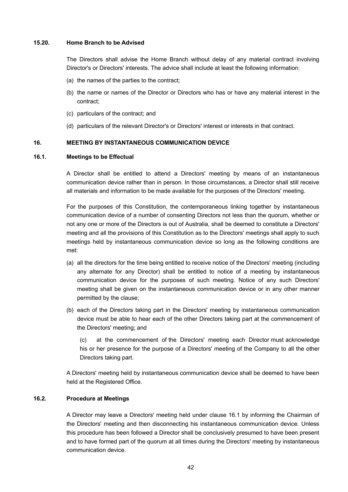### **15.20. Home Branch to be Advised**

The Directors shall advise the Home Branch without delay of any material contract involving Director's or Directors' interests. The advice shall include at least the following information:

- (a) the names of the parties to the contract;
- (b) the name or names of the Director or Directors who has or have any material interest in the contract;
- (c) particulars of the contract; and
- (d) particulars of the relevant Director's or Directors' interest or interests in that contract.

#### **16. MEETING BY INSTANTANEOUS COMMUNICATION DEVICE**

# **16.1. Meetings to be Effectual**

A Director shall be entitled to attend a Directors' meeting by means of an instantaneous communication device rather than in person. In those circumstances, a Director shall still receive all materials and information to be made available for the purposes of the Directors' meeting.

For the purposes of this Constitution, the contemporaneous linking together by instantaneous communication device of a number of consenting Directors not less than the quorum, whether or not any one or more of the Directors is out of Australia, shall be deemed to constitute a Directors' meeting and all the provisions of this Constitution as to the Directors' meetings shall apply to such meetings held by instantaneous communication device so long as the following conditions are met:

- (a) all the directors for the time being entitled to receive notice of the Directors' meeting (including any alternate for any Director) shall be entitled to notice of a meeting by instantaneous communication device for the purposes of such meeting. Notice of any such Directors' meeting shall be given on the instantaneous communication device or in any other manner permitted by the clause;
- (b) each of the Directors taking part in the Directors' meeting by instantaneous communication device must be able to hear each of the other Directors taking part at the commencement of the Directors' meeting; and

(c) at the commencement of the Directors' meeting each Director must acknowledge his or her presence for the purpose of a Directors' meeting of the Company to all the other Directors taking part.

A Directors' meeting held by instantaneous communication device shall be deemed to have been held at the Registered Office.

### **16.2. Procedure at Meetings**

A Director may leave a Directors' meeting held under clause 16.1 by informing the Chairman of the Directors' meeting and then disconnecting his instantaneous communication device. Unless this procedure has been followed a Director shall be conclusively presumed to have been present and to have formed part of the quorum at all times during the Directors' meeting by instantaneous communication device.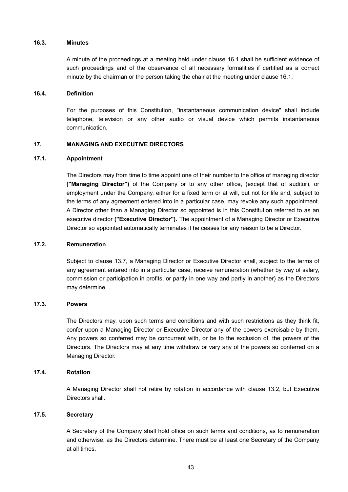### **16.3. Minutes**

A minute of the proceedings at a meeting held under clause 16.1 shall be sufficient evidence of such proceedings and of the observance of all necessary formalities if certified as a correct minute by the chairman or the person taking the chair at the meeting under clause 16.1.

#### **16.4. Definition**

For the purposes of this Constitution, "instantaneous communication device" shall include telephone, television or any other audio or visual device which permits instantaneous communication.

# **17. MANAGING AND EXECUTIVE DIRECTORS**

### **17.1. Appointment**

The Directors may from time to time appoint one of their number to the office of managing director **("Managing Director")** of the Company or to any other office, (except that of auditor), or employment under the Company, either for a fixed term or at will, but not for life and, subject to the terms of any agreement entered into in a particular case, may revoke any such appointment. A Director other than a Managing Director so appointed is in this Constitution referred to as an executive director **("Executive Director").** The appointment of a Managing Director or Executive Director so appointed automatically terminates if he ceases for any reason to be a Director.

#### **17.2. Remuneration**

Subject to clause 13.7, a Managing Director or Executive Director shall, subject to the terms of any agreement entered into in a particular case, receive remuneration (whether by way of salary, commission or participation in profits, or partly in one way and partly in another) as the Directors may determine.

#### **17.3. Powers**

The Directors may, upon such terms and conditions and with such restrictions as they think fit, confer upon a Managing Director or Executive Director any of the powers exercisable by them. Any powers so conferred may be concurrent with, or be to the exclusion of, the powers of the Directors. The Directors may at any time withdraw or vary any of the powers so conferred on a Managing Director.

#### **17.4. Rotation**

A Managing Director shall not retire by rotation in accordance with clause 13.2, but Executive Directors shall.

# **17.5. Secretary**

A Secretary of the Company shall hold office on such terms and conditions, as to remuneration and otherwise, as the Directors determine. There must be at least one Secretary of the Company at all times.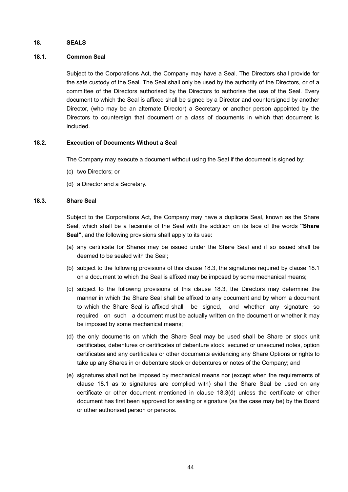#### **18. SEALS**

#### **18.1. Common Seal**

Subject to the Corporations Act, the Company may have a Seal. The Directors shall provide for the safe custody of the Seal. The Seal shall only be used by the authority of the Directors, or of a committee of the Directors authorised by the Directors to authorise the use of the Seal. Every document to which the Seal is affixed shall be signed by a Director and countersigned by another Director, (who may be an alternate Director) a Secretary or another person appointed by the Directors to countersign that document or a class of documents in which that document is included.

#### **18.2. Execution of Documents Without a Seal**

The Company may execute a document without using the Seal if the document is signed by:

- (c) two Directors; or
- (d) a Director and a Secretary.

#### **18.3. Share Seal**

Subject to the Corporations Act, the Company may have a duplicate Seal, known as the Share Seal, which shall be a facsimile of the Seal with the addition on its face of the words **"Share Seal",** and the following provisions shall apply to its use:

- (a) any certificate for Shares may be issued under the Share Seal and if so issued shall be deemed to be sealed with the Seal;
- (b) subject to the following provisions of this clause 18.3, the signatures required by clause 18.1 on a document to which the Seal is affixed may be imposed by some mechanical means;
- (c) subject to the following provisions of this clause 18.3, the Directors may determine the manner in which the Share Seal shall be affixed to any document and by whom a document to which the Share Seal is affixed shall be signed, and whether any signature so required on such a document must be actually written on the document or whether it may be imposed by some mechanical means;
- (d) the only documents on which the Share Seal may be used shall be Share or stock unit certificates, debentures or certificates of debenture stock, secured or unsecured notes, option certificates and any certificates or other documents evidencing any Share Options or rights to take up any Shares in or debenture stock or debentures or notes of the Company; and
- (e) signatures shall not be imposed by mechanical means nor (except when the requirements of clause 18.1 as to signatures are complied with) shall the Share Seal be used on any certificate or other document mentioned in clause 18.3(d) unless the certificate or other document has first been approved for sealing or signature (as the case may be) by the Board or other authorised person or persons.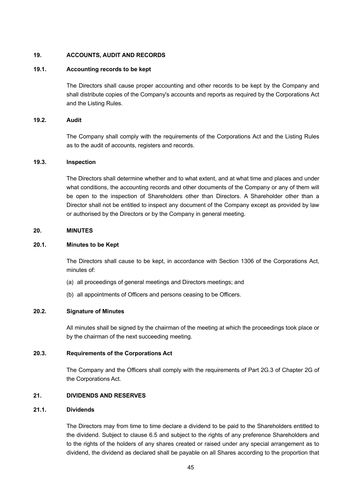# **19. ACCOUNTS, AUDIT AND RECORDS**

#### **19.1. Accounting records to be kept**

The Directors shall cause proper accounting and other records to be kept by the Company and shall distribute copies of the Company's accounts and reports as required by the Corporations Act and the Listing Rules.

### **19.2. Audit**

The Company shall comply with the requirements of the Corporations Act and the Listing Rules as to the audit of accounts, registers and records.

#### **19.3. Inspection**

The Directors shall determine whether and to what extent, and at what time and places and under what conditions, the accounting records and other documents of the Company or any of them will be open to the inspection of Shareholders other than Directors. A Shareholder other than a Director shall not be entitled to inspect any document of the Company except as provided by law or authorised by the Directors or by the Company in general meeting.

#### **20. MINUTES**

#### **20.1. Minutes to be Kept**

The Directors shall cause to be kept, in accordance with Section 1306 of the Corporations Act, minutes of:

- (a) all proceedings of general meetings and Directors meetings; and
- (b) all appointments of Officers and persons ceasing to be Officers.

# **20.2. Signature of Minutes**

All minutes shall be signed by the chairman of the meeting at which the proceedings took place or by the chairman of the next succeeding meeting.

# **20.3. Requirements of the Corporations Act**

The Company and the Officers shall comply with the requirements of Part 2G.3 of Chapter 2G of the Corporations Act.

### **21. DIVIDENDS AND RESERVES**

#### **21.1. Dividends**

The Directors may from time to time declare a dividend to be paid to the Shareholders entitled to the dividend. Subject to clause 6.5 and subject to the rights of any preference Shareholders and to the rights of the holders of any shares created or raised under any special arrangement as to dividend, the dividend as declared shall be payable on all Shares according to the proportion that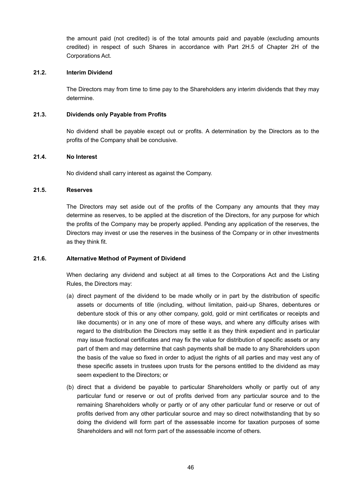the amount paid (not credited) is of the total amounts paid and payable (excluding amounts credited) in respect of such Shares in accordance with Part 2H.5 of Chapter 2H of the Corporations Act.

#### **21.2. Interim Dividend**

The Directors may from time to time pay to the Shareholders any interim dividends that they may determine.

#### **21.3. Dividends only Payable from Profits**

No dividend shall be payable except out or profits. A determination by the Directors as to the profits of the Company shall be conclusive.

# **21.4. No Interest**

No dividend shall carry interest as against the Company.

# **21.5. Reserves**

The Directors may set aside out of the profits of the Company any amounts that they may determine as reserves, to be applied at the discretion of the Directors, for any purpose for which the profits of the Company may be properly applied. Pending any application of the reserves, the Directors may invest or use the reserves in the business of the Company or in other investments as they think fit.

# **21.6. Alternative Method of Payment of Dividend**

When declaring any dividend and subject at all times to the Corporations Act and the Listing Rules, the Directors may:

- (a) direct payment of the dividend to be made wholly or in part by the distribution of specific assets or documents of title (including, without limitation, paid-up Shares, debentures or debenture stock of this or any other company, gold, gold or mint certificates or receipts and like documents) or in any one of more of these ways, and where any difficulty arises with regard to the distribution the Directors may settle it as they think expedient and in particular may issue fractional certificates and may fix the value for distribution of specific assets or any part of them and may determine that cash payments shall be made to any Shareholders upon the basis of the value so fixed in order to adjust the rights of all parties and may vest any of these specific assets in trustees upon trusts for the persons entitled to the dividend as may seem expedient to the Directors; or
- (b) direct that a dividend be payable to particular Shareholders wholly or partly out of any particular fund or reserve or out of profits derived from any particular source and to the remaining Shareholders wholly or partly or of any other particular fund or reserve or out of profits derived from any other particular source and may so direct notwithstanding that by so doing the dividend will form part of the assessable income for taxation purposes of some Shareholders and will not form part of the assessable income of others.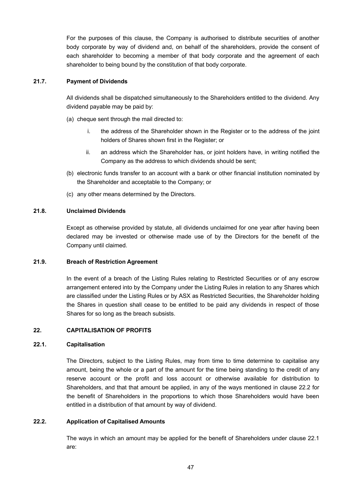For the purposes of this clause, the Company is authorised to distribute securities of another body corporate by way of dividend and, on behalf of the shareholders, provide the consent of each shareholder to becoming a member of that body corporate and the agreement of each shareholder to being bound by the constitution of that body corporate.

### **21.7. Payment of Dividends**

All dividends shall be dispatched simultaneously to the Shareholders entitled to the dividend. Any dividend payable may be paid by:

- (a) cheque sent through the mail directed to:
	- i. the address of the Shareholder shown in the Register or to the address of the joint holders of Shares shown first in the Register; or
	- ii. an address which the Shareholder has, or joint holders have, in writing notified the Company as the address to which dividends should be sent;
- (b) electronic funds transfer to an account with a bank or other financial institution nominated by the Shareholder and acceptable to the Company; or
- (c) any other means determined by the Directors.

### **21.8. Unclaimed Dividends**

Except as otherwise provided by statute, all dividends unclaimed for one year after having been declared may be invested or otherwise made use of by the Directors for the benefit of the Company until claimed.

### **21.9. Breach of Restriction Agreement**

In the event of a breach of the Listing Rules relating to Restricted Securities or of any escrow arrangement entered into by the Company under the Listing Rules in relation to any Shares which are classified under the Listing Rules or by ASX as Restricted Securities, the Shareholder holding the Shares in question shall cease to be entitled to be paid any dividends in respect of those Shares for so long as the breach subsists.

# **22. CAPITALISATION OF PROFITS**

### **22.1. Capitalisation**

The Directors, subject to the Listing Rules, may from time to time determine to capitalise any amount, being the whole or a part of the amount for the time being standing to the credit of any reserve account or the profit and loss account or otherwise available for distribution to Shareholders, and that that amount be applied, in any of the ways mentioned in clause 22.2 for the benefit of Shareholders in the proportions to which those Shareholders would have been entitled in a distribution of that amount by way of dividend.

### **22.2. Application of Capitalised Amounts**

The ways in which an amount may be applied for the benefit of Shareholders under clause 22.1 are: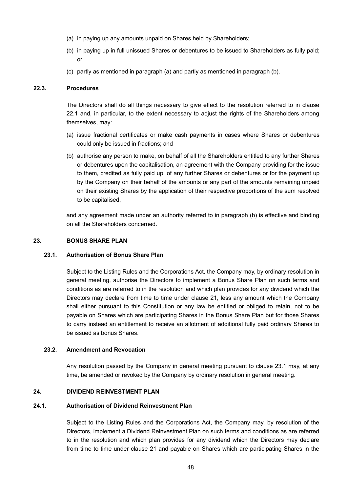- (a) in paying up any amounts unpaid on Shares held by Shareholders;
- (b) in paying up in full unissued Shares or debentures to be issued to Shareholders as fully paid; or
- (c) partly as mentioned in paragraph (a) and partly as mentioned in paragraph (b).

# **22.3. Procedures**

The Directors shall do all things necessary to give effect to the resolution referred to in clause 22.1 and, in particular, to the extent necessary to adjust the rights of the Shareholders among themselves, may:

- (a) issue fractional certificates or make cash payments in cases where Shares or debentures could only be issued in fractions; and
- (b) authorise any person to make, on behalf of all the Shareholders entitled to any further Shares or debentures upon the capitalisation, an agreement with the Company providing for the issue to them, credited as fully paid up, of any further Shares or debentures or for the payment up by the Company on their behalf of the amounts or any part of the amounts remaining unpaid on their existing Shares by the application of their respective proportions of the sum resolved to be capitalised,

and any agreement made under an authority referred to in paragraph (b) is effective and binding on all the Shareholders concerned.

# **23. BONUS SHARE PLAN**

# **23.1. Authorisation of Bonus Share Plan**

Subject to the Listing Rules and the Corporations Act, the Company may, by ordinary resolution in general meeting, authorise the Directors to implement a Bonus Share Plan on such terms and conditions as are referred to in the resolution and which plan provides for any dividend which the Directors may declare from time to time under clause 21, less any amount which the Company shall either pursuant to this Constitution or any law be entitled or obliged to retain, not to be payable on Shares which are participating Shares in the Bonus Share Plan but for those Shares to carry instead an entitlement to receive an allotment of additional fully paid ordinary Shares to be issued as bonus Shares.

#### **23.2. Amendment and Revocation**

Any resolution passed by the Company in general meeting pursuant to clause 23.1 may, at any time, be amended or revoked by the Company by ordinary resolution in general meeting.

#### **24. DIVIDEND REINVESTMENT PLAN**

### **24.1. Authorisation of Dividend Reinvestment Plan**

Subject to the Listing Rules and the Corporations Act, the Company may, by resolution of the Directors, implement a Dividend Reinvestment Plan on such terms and conditions as are referred to in the resolution and which plan provides for any dividend which the Directors may declare from time to time under clause 21 and payable on Shares which are participating Shares in the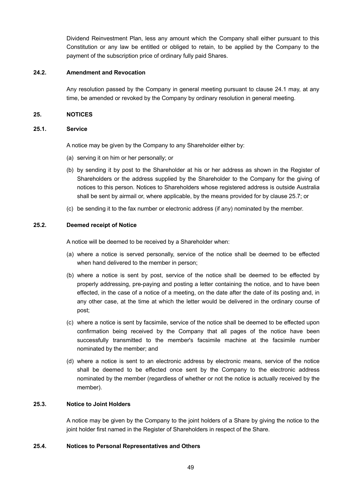Dividend Reinvestment Plan, less any amount which the Company shall either pursuant to this Constitution or any law be entitled or obliged to retain, to be applied by the Company to the payment of the subscription price of ordinary fully paid Shares.

#### **24.2. Amendment and Revocation**

Any resolution passed by the Company in general meeting pursuant to clause 24.1 may, at any time, be amended or revoked by the Company by ordinary resolution in general meeting.

### **25. NOTICES**

#### **25.1. Service**

A notice may be given by the Company to any Shareholder either by:

- (a) serving it on him or her personally; or
- (b) by sending it by post to the Shareholder at his or her address as shown in the Register of Shareholders or the address supplied by the Shareholder to the Company for the giving of notices to this person. Notices to Shareholders whose registered address is outside Australia shall be sent by airmail or, where applicable, by the means provided for by clause 25.7; or
- (c) be sending it to the fax number or electronic address (if any) nominated by the member.

#### **25.2. Deemed receipt of Notice**

A notice will be deemed to be received by a Shareholder when:

- (a) where a notice is served personally, service of the notice shall be deemed to be effected when hand delivered to the member in person;
- (b) where a notice is sent by post, service of the notice shall be deemed to be effected by properly addressing, pre-paying and posting a letter containing the notice, and to have been effected, in the case of a notice of a meeting, on the date after the date of its posting and, in any other case, at the time at which the letter would be delivered in the ordinary course of post;
- (c) where a notice is sent by facsimile, service of the notice shall be deemed to be effected upon confirmation being received by the Company that all pages of the notice have been successfully transmitted to the member's facsimile machine at the facsimile number nominated by the member; and
- (d) where a notice is sent to an electronic address by electronic means, service of the notice shall be deemed to be effected once sent by the Company to the electronic address nominated by the member (regardless of whether or not the notice is actually received by the member).

## **25.3. Notice to Joint Holders**

A notice may be given by the Company to the joint holders of a Share by giving the notice to the joint holder first named in the Register of Shareholders in respect of the Share.

#### **25.4. Notices to Personal Representatives and Others**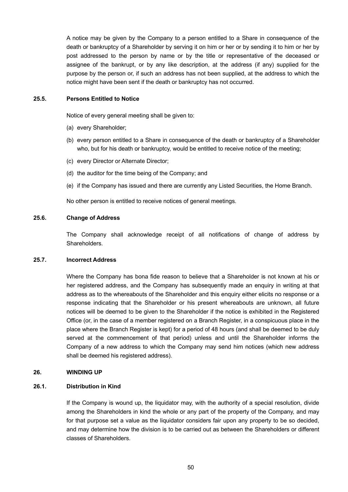A notice may be given by the Company to a person entitled to a Share in consequence of the death or bankruptcy of a Shareholder by serving it on him or her or by sending it to him or her by post addressed to the person by name or by the title or representative of the deceased or assignee of the bankrupt, or by any like description, at the address (if any) supplied for the purpose by the person or, if such an address has not been supplied, at the address to which the notice might have been sent if the death or bankruptcy has not occurred.

### **25.5. Persons Entitled to Notice**

Notice of every general meeting shall be given to:

- (a) every Shareholder;
- (b) every person entitled to a Share in consequence of the death or bankruptcy of a Shareholder who, but for his death or bankruptcy, would be entitled to receive notice of the meeting;
- (c) every Director or Alternate Director;
- (d) the auditor for the time being of the Company; and
- (e) if the Company has issued and there are currently any Listed Securities, the Home Branch.

No other person is entitled to receive notices of general meetings.

#### **25.6. Change of Address**

The Company shall acknowledge receipt of all notifications of change of address by **Shareholders** 

#### **25.7. Incorrect Address**

Where the Company has bona fide reason to believe that a Shareholder is not known at his or her registered address, and the Company has subsequently made an enquiry in writing at that address as to the whereabouts of the Shareholder and this enquiry either elicits no response or a response indicating that the Shareholder or his present whereabouts are unknown, all future notices will be deemed to be given to the Shareholder if the notice is exhibited in the Registered Office (or, in the case of a member registered on a Branch Register, in a conspicuous place in the place where the Branch Register is kept) for a period of 48 hours (and shall be deemed to be duly served at the commencement of that period) unless and until the Shareholder informs the Company of a new address to which the Company may send him notices (which new address shall be deemed his registered address).

#### **26. WINDING UP**

### **26.1. Distribution in Kind**

If the Company is wound up, the liquidator may, with the authority of a special resolution, divide among the Shareholders in kind the whole or any part of the property of the Company, and may for that purpose set a value as the liquidator considers fair upon any property to be so decided, and may determine how the division is to be carried out as between the Shareholders or different classes of Shareholders.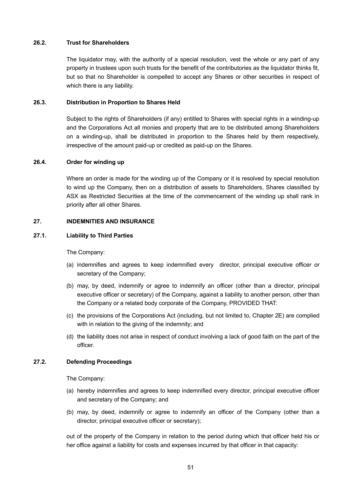# **26.2. Trust for Shareholders**

The liquidator may, with the authority of a special resolution, vest the whole or any part of any property in trustees upon such trusts for the benefit of the contributories as the liquidator thinks fit, but so that no Shareholder is compelled to accept any Shares or other securities in respect of which there is any liability.

### **26.3. Distribution in Proportion to Shares Held**

Subject to the rights of Shareholders (if any) entitled to Shares with special rights in a winding-up and the Corporations Act all monies and property that are to be distributed among Shareholders on a winding-up, shall be distributed in proportion to the Shares held by them respectively, irrespective of the amount paid-up or credited as paid-up on the Shares.

### **26.4. Order for winding up**

Where an order is made for the winding up of the Company or it is resolved by special resolution to wind up the Company, then on a distribution of assets to Shareholders, Shares classified by ASX as Restricted Securities at the time of the commencement of the winding up shall rank in priority after all other Shares.

# **27. INDEMNITIES AND INSURANCE**

### **27.1. Liability to Third Parties**

The Company:

- (a) indemnifies and agrees to keep indemnified every director, principal executive officer or secretary of the Company;
- (b) may, by deed, indemnify or agree to indemnify an officer (other than a director, principal executive officer or secretary) of the Company, against a liability to another person, other than the Company or a related body corporate of the Company, PROVIDED THAT:
- (c) the provisions of the Corporations Act (including, but not limited to, Chapter 2E) are complied with in relation to the giving of the indemnity; and
- (d) the liability does not arise in respect of conduct involving a lack of good faith on the part of the officer.

# **27.2. Defending Proceedings**

The Company:

- (a) hereby indemnifies and agrees to keep indemnified every director, principal executive officer and secretary of the Company; and
- (b) may, by deed, indemnify or agree to indemnify an officer of the Company (other than a director, principal executive officer or secretary);

out of the property of the Company in relation to the period during which that officer held his or her office against a liability for costs and expenses incurred by that officer in that capacity: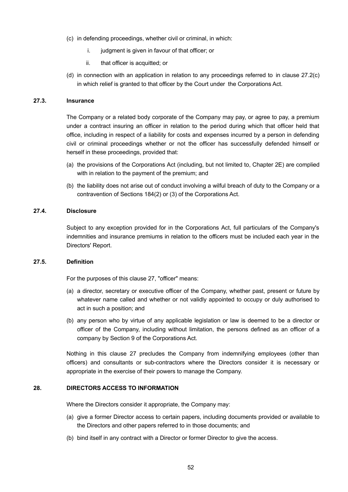- (c) in defending proceedings, whether civil or criminal, in which:
	- i. judgment is given in favour of that officer; or
	- ii. that officer is acquitted; or
- (d) in connection with an application in relation to any proceedings referred to in clause 27.2(c) in which relief is granted to that officer by the Court under the Corporations Act.

# **27.3. Insurance**

The Company or a related body corporate of the Company may pay, or agree to pay, a premium under a contract insuring an officer in relation to the period during which that officer held that office, including in respect of a liability for costs and expenses incurred by a person in defending civil or criminal proceedings whether or not the officer has successfully defended himself or herself in these proceedings, provided that:

- (a) the provisions of the Corporations Act (including, but not limited to, Chapter 2E) are complied with in relation to the payment of the premium; and
- (b) the liability does not arise out of conduct involving a wilful breach of duty to the Company or a contravention of Sections 184(2) or (3) of the Corporations Act.

### **27.4. Disclosure**

Subject to any exception provided for in the Corporations Act, full particulars of the Company's indemnities and insurance premiums in relation to the officers must be included each year in the Directors' Report.

#### **27.5. Definition**

For the purposes of this clause 27, "officer" means:

- (a) a director, secretary or executive officer of the Company, whether past, present or future by whatever name called and whether or not validly appointed to occupy or duly authorised to act in such a position; and
- (b) any person who by virtue of any applicable legislation or law is deemed to be a director or officer of the Company, including without limitation, the persons defined as an officer of a company by Section 9 of the Corporations Act.

Nothing in this clause 27 precludes the Company from indemnifying employees (other than officers) and consultants or sub-contractors where the Directors consider it is necessary or appropriate in the exercise of their powers to manage the Company.

# **28. DIRECTORS ACCESS TO INFORMATION**

Where the Directors consider it appropriate, the Company may:

- (a) give a former Director access to certain papers, including documents provided or available to the Directors and other papers referred to in those documents; and
- (b) bind itself in any contract with a Director or former Director to give the access.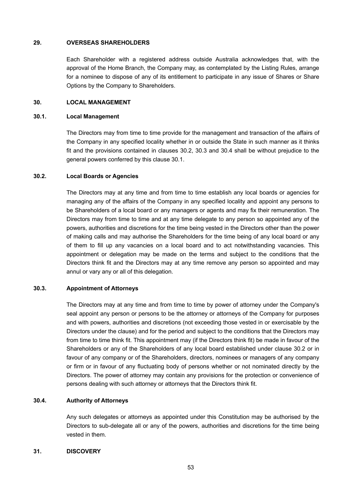### **29. OVERSEAS SHAREHOLDERS**

Each Shareholder with a registered address outside Australia acknowledges that, with the approval of the Home Branch, the Company may, as contemplated by the Listing Rules, arrange for a nominee to dispose of any of its entitlement to participate in any issue of Shares or Share Options by the Company to Shareholders.

# **30. LOCAL MANAGEMENT**

### **30.1. Local Management**

The Directors may from time to time provide for the management and transaction of the affairs of the Company in any specified locality whether in or outside the State in such manner as it thinks fit and the provisions contained in clauses 30.2, 30.3 and 30.4 shall be without prejudice to the general powers conferred by this clause 30.1.

### **30.2. Local Boards or Agencies**

The Directors may at any time and from time to time establish any local boards or agencies for managing any of the affairs of the Company in any specified locality and appoint any persons to be Shareholders of a local board or any managers or agents and may fix their remuneration. The Directors may from time to time and at any time delegate to any person so appointed any of the powers, authorities and discretions for the time being vested in the Directors other than the power of making calls and may authorise the Shareholders for the time being of any local board or any of them to fill up any vacancies on a local board and to act notwithstanding vacancies. This appointment or delegation may be made on the terms and subject to the conditions that the Directors think fit and the Directors may at any time remove any person so appointed and may annul or vary any or all of this delegation.

# **30.3. Appointment of Attorneys**

The Directors may at any time and from time to time by power of attorney under the Company's seal appoint any person or persons to be the attorney or attorneys of the Company for purposes and with powers, authorities and discretions (not exceeding those vested in or exercisable by the Directors under the clause) and for the period and subject to the conditions that the Directors may from time to time think fit. This appointment may (if the Directors think fit) be made in favour of the Shareholders or any of the Shareholders of any local board established under clause 30.2 or in favour of any company or of the Shareholders, directors, nominees or managers of any company or firm or in favour of any fluctuating body of persons whether or not nominated directly by the Directors. The power of attorney may contain any provisions for the protection or convenience of persons dealing with such attorney or attorneys that the Directors think fit.

# **30.4. Authority of Attorneys**

Any such delegates or attorneys as appointed under this Constitution may be authorised by the Directors to sub-delegate all or any of the powers, authorities and discretions for the time being vested in them.

# **31. DISCOVERY**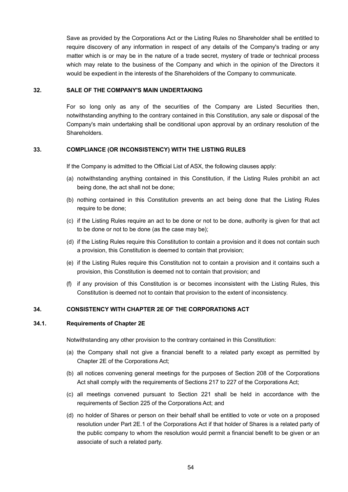Save as provided by the Corporations Act or the Listing Rules no Shareholder shall be entitled to require discovery of any information in respect of any details of the Company's trading or any matter which is or may be in the nature of a trade secret, mystery of trade or technical process which may relate to the business of the Company and which in the opinion of the Directors it would be expedient in the interests of the Shareholders of the Company to communicate.

#### **32. SALE OF THE COMPANY'S MAIN UNDERTAKING**

For so long only as any of the securities of the Company are Listed Securities then, notwithstanding anything to the contrary contained in this Constitution, any sale or disposal of the Company's main undertaking shall be conditional upon approval by an ordinary resolution of the Shareholders.

#### **33. COMPLIANCE (OR INCONSISTENCY) WITH THE LISTING RULES**

If the Company is admitted to the Official List of ASX, the following clauses apply:

- (a) notwithstanding anything contained in this Constitution, if the Listing Rules prohibit an act being done, the act shall not be done;
- (b) nothing contained in this Constitution prevents an act being done that the Listing Rules require to be done:
- (c) if the Listing Rules require an act to be done or not to be done, authority is given for that act to be done or not to be done (as the case may be);
- (d) if the Listing Rules require this Constitution to contain a provision and it does not contain such a provision, this Constitution is deemed to contain that provision;
- (e) if the Listing Rules require this Constitution not to contain a provision and it contains such a provision, this Constitution is deemed not to contain that provision; and
- (f) if any provision of this Constitution is or becomes inconsistent with the Listing Rules, this Constitution is deemed not to contain that provision to the extent of inconsistency.

### **34. CONSISTENCY WITH CHAPTER 2E OF THE CORPORATIONS ACT**

#### **34.1. Requirements of Chapter 2E**

Notwithstanding any other provision to the contrary contained in this Constitution:

- (a) the Company shall not give a financial benefit to a related party except as permitted by Chapter 2E of the Corporations Act;
- (b) all notices convening general meetings for the purposes of Section 208 of the Corporations Act shall comply with the requirements of Sections 217 to 227 of the Corporations Act;
- (c) all meetings convened pursuant to Section 221 shall be held in accordance with the requirements of Section 225 of the Corporations Act; and
- (d) no holder of Shares or person on their behalf shall be entitled to vote or vote on a proposed resolution under Part 2E.1 of the Corporations Act if that holder of Shares is a related party of the public company to whom the resolution would permit a financial benefit to be given or an associate of such a related party.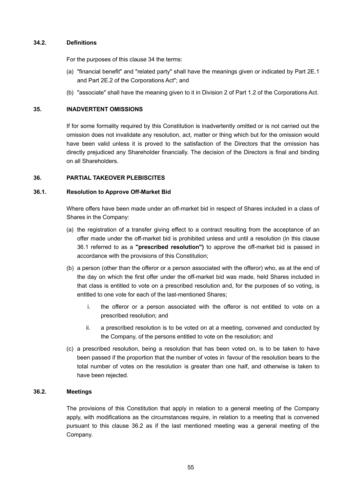# **34.2. Definitions**

For the purposes of this clause 34 the terms:

- (a) "financial benefit" and "related party" shall have the meanings given or indicated by Part 2E.1 and Part 2E.2 of the Corporations Act"; and
- (b) "associate" shall have the meaning given to it in Division 2 of Part 1.2 of the Corporations Act.

# **35. INADVERTENT OMISSIONS**

If for some formality required by this Constitution is inadvertently omitted or is not carried out the omission does not invalidate any resolution, act, matter or thing which but for the omission would have been valid unless it is proved to the satisfaction of the Directors that the omission has directly prejudiced any Shareholder financially. The decision of the Directors is final and binding on all Shareholders.

# **36. PARTIAL TAKEOVER PLEBISCITES**

# **36.1. Resolution to Approve Off-Market Bid**

Where offers have been made under an off-market bid in respect of Shares included in a class of Shares in the Company:

- (a) the registration of a transfer giving effect to a contract resulting from the acceptance of an offer made under the off-market bid is prohibited unless and until a resolution (in this clause 36.1 referred to as a **"prescribed resolution")** to approve the off-market bid is passed in accordance with the provisions of this Constitution;
- (b) a person (other than the offeror or a person associated with the offeror) who, as at the end of the day on which the first offer under the off-market bid was made, held Shares included in that class is entitled to vote on a prescribed resolution and, for the purposes of so voting, is entitled to one vote for each of the last-mentioned Shares;
	- i. the offeror or a person associated with the offeror is not entitled to vote on a prescribed resolution; and
	- ii. a prescribed resolution is to be voted on at a meeting, convened and conducted by the Company, of the persons entitled to vote on the resolution; and
- (c) a prescribed resolution, being a resolution that has been voted on, is to be taken to have been passed if the proportion that the number of votes in favour of the resolution bears to the total number of votes on the resolution is greater than one half, and otherwise is taken to have been rejected.

### **36.2. Meetings**

The provisions of this Constitution that apply in relation to a general meeting of the Company apply, with modifications as the circumstances require, in relation to a meeting that is convened pursuant to this clause 36.2 as if the last mentioned meeting was a general meeting of the Company.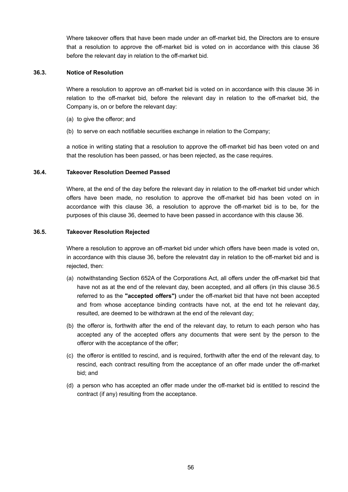Where takeover offers that have been made under an off-market bid, the Directors are to ensure that a resolution to approve the off-market bid is voted on in accordance with this clause 36 before the relevant day in relation to the off-market bid.

#### **36.3. Notice of Resolution**

Where a resolution to approve an off-market bid is voted on in accordance with this clause 36 in relation to the off-market bid, before the relevant day in relation to the off-market bid, the Company is, on or before the relevant day:

- (a) to give the offeror; and
- (b) to serve on each notifiable securities exchange in relation to the Company;

a notice in writing stating that a resolution to approve the off-market bid has been voted on and that the resolution has been passed, or has been rejected, as the case requires.

#### **36.4. Takeover Resolution Deemed Passed**

Where, at the end of the day before the relevant day in relation to the off-market bid under which offers have been made, no resolution to approve the off-market bid has been voted on in accordance with this clause 36, a resolution to approve the off-market bid is to be, for the purposes of this clause 36, deemed to have been passed in accordance with this clause 36.

#### **36.5. Takeover Resolution Rejected**

Where a resolution to approve an off-market bid under which offers have been made is voted on, in accordance with this clause 36, before the relevatnt day in relation to the off-market bid and is rejected, then:

- (a) notwithstanding Section 652A of the Corporations Act, all offers under the off-market bid that have not as at the end of the relevant day, been accepted, and all offers (in this clause 36.5 referred to as the **"accepted offers")** under the off-market bid that have not been accepted and from whose acceptance binding contracts have not, at the end tot he relevant day, resulted, are deemed to be withdrawn at the end of the relevant day;
- (b) the offeror is, forthwith after the end of the relevant day, to return to each person who has accepted any of the accepted offers any documents that were sent by the person to the offeror with the acceptance of the offer;
- (c) the offeror is entitled to rescind, and is required, forthwith after the end of the relevant day, to rescind, each contract resulting from the acceptance of an offer made under the off-market bid; and
- (d) a person who has accepted an offer made under the off-market bid is entitled to rescind the contract (if any) resulting from the acceptance.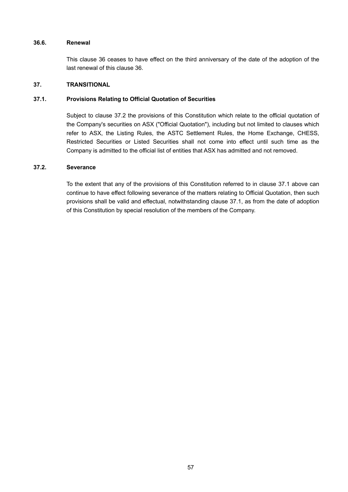# **36.6. Renewal**

This clause 36 ceases to have effect on the third anniversary of the date of the adoption of the last renewal of this clause 36.

#### **37. TRANSITIONAL**

### **37.1. Provisions Relating to Official Quotation of Securities**

Subject to clause 37.2 the provisions of this Constitution which relate to the official quotation of the Company's securities on ASX ("Official Quotation"), including but not limited to clauses which refer to ASX, the Listing Rules, the ASTC Settlement Rules, the Home Exchange, CHESS, Restricted Securities or Listed Securities shall not come into effect until such time as the Company is admitted to the official list of entities that ASX has admitted and not removed.

# **37.2. Severance**

To the extent that any of the provisions of this Constitution referred to in clause 37.1 above can continue to have effect following severance of the matters relating to Official Quotation, then such provisions shall be valid and effectual, notwithstanding clause 37.1, as from the date of adoption of this Constitution by special resolution of the members of the Company.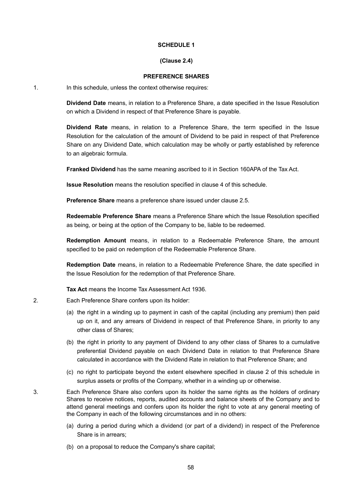#### **SCHEDULE 1**

# **(Clause 2.4)**

#### **PREFERENCE SHARES**

1. In this schedule, unless the context otherwise requires:

**Dividend Date** means, in relation to a Preference Share, a date specified in the Issue Resolution on which a Dividend in respect of that Preference Share is payable.

**Dividend Rate** means, in relation to a Preference Share, the term specified in the Issue Resolution for the calculation of the amount of Dividend to be paid in respect of that Preference Share on any Dividend Date, which calculation may be wholly or partly established by reference to an algebraic formula.

**Franked Dividend** has the same meaning ascribed to it in Section 160APA of the Tax Act.

**Issue Resolution** means the resolution specified in clause 4 of this schedule.

**Preference Share** means a preference share issued under clause 2.5.

**Redeemable Preference Share** means a Preference Share which the Issue Resolution specified as being, or being at the option of the Company to be, liable to be redeemed.

**Redemption Amount** means, in relation to a Redeemable Preference Share, the amount specified to be paid on redemption of the Redeemable Preference Share.

**Redemption Date** means, in relation to a Redeemable Preference Share, the date specified in the Issue Resolution for the redemption of that Preference Share.

**Tax Act** means the Income Tax Assessment Act 1936.

2. Each Preference Share confers upon its holder:

- (a) the right in a winding up to payment in cash of the capital (including any premium) then paid up on it, and any arrears of Dividend in respect of that Preference Share, in priority to any other class of Shares;
- (b) the right in priority to any payment of Dividend to any other class of Shares to a cumulative preferential Dividend payable on each Dividend Date in relation to that Preference Share calculated in accordance with the Dividend Rate in relation to that Preference Share; and
- (c) no right to participate beyond the extent elsewhere specified in clause 2 of this schedule in surplus assets or profits of the Company, whether in a winding up or otherwise.

3. Each Preference Share also confers upon its holder the same rights as the holders of ordinary Shares to receive notices, reports, audited accounts and balance sheets of the Company and to attend general meetings and confers upon its holder the right to vote at any general meeting of the Company in each of the following circumstances and in no others:

- (a) during a period during which a dividend (or part of a dividend) in respect of the Preference Share is in arrears;
- (b) on a proposal to reduce the Company's share capital;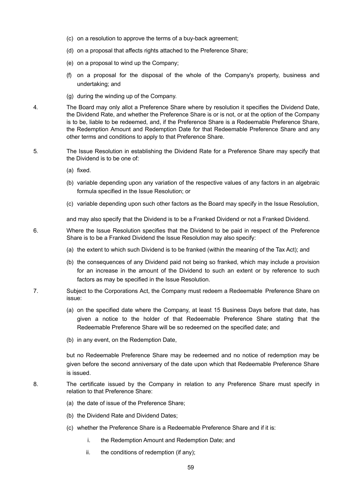- (c) on a resolution to approve the terms of a buy-back agreement;
- (d) on a proposal that affects rights attached to the Preference Share;
- (e) on a proposal to wind up the Company;
- (f) on a proposal for the disposal of the whole of the Company's property, business and undertaking; and
- (g) during the winding up of the Company.
- 4. The Board may only allot a Preference Share where by resolution it specifies the Dividend Date, the Dividend Rate, and whether the Preference Share is or is not, or at the option of the Company is to be, liable to be redeemed, and, if the Preference Share is a Redeemable Preference Share, the Redemption Amount and Redemption Date for that Redeemable Preference Share and any other terms and conditions to apply to that Preference Share.
- 5. The Issue Resolution in establishing the Dividend Rate for a Preference Share may specify that the Dividend is to be one of:
	- (a) fixed.
	- (b) variable depending upon any variation of the respective values of any factors in an algebraic formula specified in the Issue Resolution; or
	- (c) variable depending upon such other factors as the Board may specify in the Issue Resolution,

and may also specify that the Dividend is to be a Franked Dividend or not a Franked Dividend.

- 6. Where the Issue Resolution specifies that the Dividend to be paid in respect of the Preference Share is to be a Franked Dividend the Issue Resolution may also specify:
	- (a) the extent to which such Dividend is to be franked (within the meaning of the Tax Act); and
	- (b) the consequences of any Dividend paid not being so franked, which may include a provision for an increase in the amount of the Dividend to such an extent or by reference to such factors as may be specified in the Issue Resolution.
- 7. Subject to the Corporations Act, the Company must redeem a Redeemable Preference Share on issue:
	- (a) on the specified date where the Company, at least 15 Business Days before that date, has given a notice to the holder of that Redeemable Preference Share stating that the Redeemable Preference Share will be so redeemed on the specified date; and
	- (b) in any event, on the Redemption Date,

but no Redeemable Preference Share may be redeemed and no notice of redemption may be given before the second anniversary of the date upon which that Redeemable Preference Share is issued.

- 8. The certificate issued by the Company in relation to any Preference Share must specify in relation to that Preference Share:
	- (a) the date of issue of the Preference Share;
	- (b) the Dividend Rate and Dividend Dates;
	- (c) whether the Preference Share is a Redeemable Preference Share and if it is:
		- i. the Redemption Amount and Redemption Date; and
		- ii. the conditions of redemption (if any);